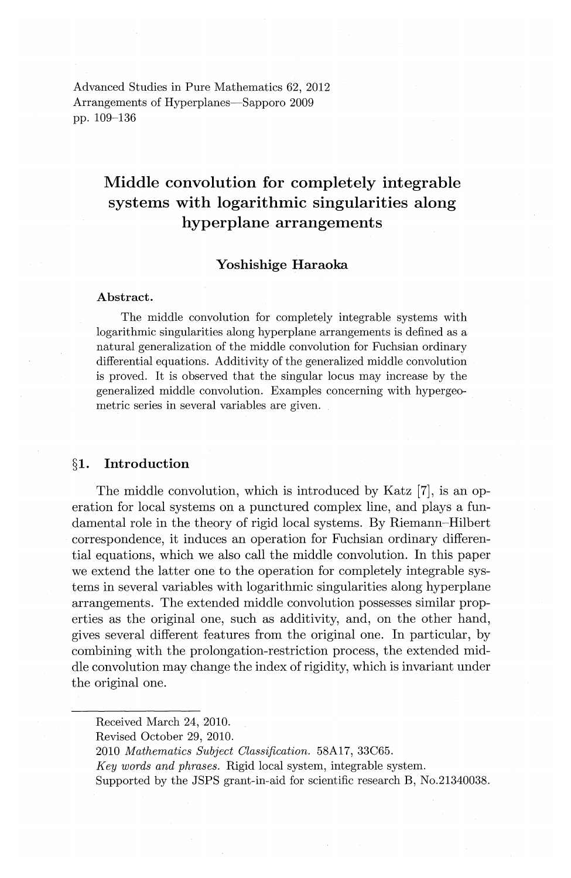Advanced Studies in Pure Mathematics 62, 2012 Arrangements of Hyperplanes-Sapporo 2009 pp. 109-136

# **Middle convolution for completely integrable systems with logarithmic singularities along hyperplane arrangements**

## **Yoshishige Haraoka**

#### **Abstract.**

The middle convolution for completely integrable systems with logarithmic singularities along hyperplane arrangements is defined as a natural generalization of the middle convolution for Fuchsian ordinary differential equations. Additivity of the generalized middle convolution is proved. It is observed that the singular locus may increase by the generalized middle convolution. Examples concerning with hypergeometric series in several variables are given.

## **§1. Introduction**

The middle convolution, which is introduced by Katz [7], is an operation for local systems on a punctured complex line, and plays a fundamental role in the theory of rigid local systems. By Riemann-Hilbert correspondence, it induces an operation for Fuchsian ordinary differential equations, which we also call the middle convolution. In this paper we extend the latter one to the operation for completely integrable systems in several variables with logarithmic singularities along hyperplane arrangements. The extended middle convolution possesses similar properties as the original one, such as additivity, and, on the other hand, gives several different features from the original one. In particular, by combining with the prolongation-restriction process, the extended middle convolution may change the index of rigidity, which is invariant under the original one.

Received March 24, 2010.

Revised October 29, 2010.

<sup>2010</sup> *Mathematics Subject Classification.* 58A17, 33C65.

*Key words and phrases.* Rigid local system, integrable system.

Supported by the JSPS grant-in-aid for scientific research B, No.21340038.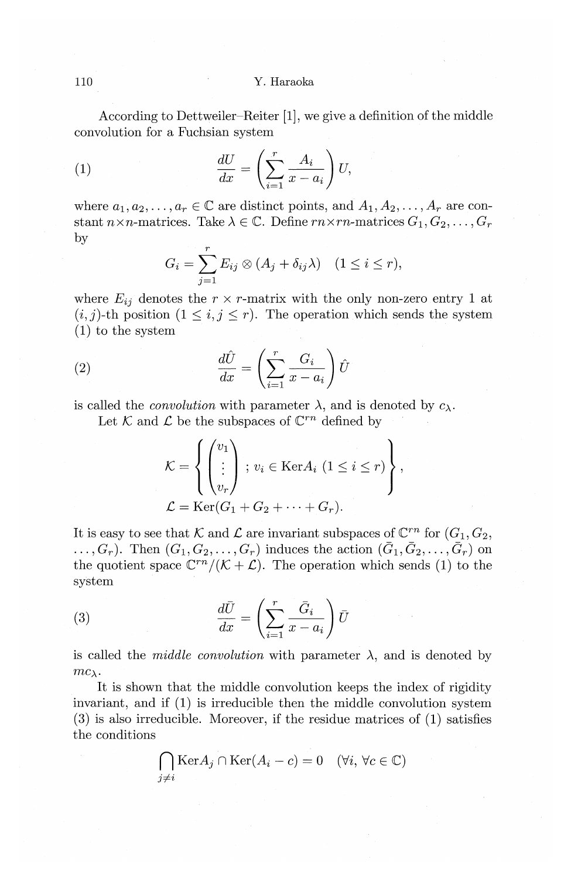According to Dettweiler-Reiter [1], we give a definition of the middle convolution for a Fuchsian system

(1) 
$$
\frac{dU}{dx} = \left(\sum_{i=1}^{r} \frac{A_i}{x - a_i}\right) U,
$$

where  $a_1, a_2, \ldots, a_r \in \mathbb{C}$  are distinct points, and  $A_1, A_2, \ldots, A_r$  are constant  $n \times n$ -matrices. Take  $\lambda \in \mathbb{C}$ . Define  $rn \times rn$ -matrices  $G_1, G_2, \ldots, G_r$  $\frac{1}{r}$  *r* 

$$
G_i = \sum_{j=1}^r E_{ij} \otimes (A_j + \delta_{ij} \lambda) \quad (1 \le i \le r),
$$

where  $E_{ij}$  denotes the  $r \times r$ -matrix with the only non-zero entry 1 at  $(i, j)$ -th position  $(1 \leq i, j \leq r)$ . The operation which sends the system (1) to the system

(2) 
$$
\frac{d\hat{U}}{dx} = \left(\sum_{i=1}^{r} \frac{G_i}{x - a_i}\right) \hat{U}
$$

Let K and  $\mathcal L$  be the subspaces of  $\mathbb C^{rn}$  defined by

is called the *convolution* with parameter 
$$
\lambda
$$
, and is denoted by  $c_{\lambda}$ .  
\nLet  $K$  and  $L$  be the subspaces of  $\mathbb{C}^{rn}$  defined by\n
$$
\mathcal{K} = \left\{ \begin{pmatrix} v_1 \\ \vdots \\ v_r \end{pmatrix} \, ; \, v_i \in \text{Ker} A_i \ (1 \leq i \leq r) \right\},
$$
\n
$$
\mathcal{L} = \text{Ker}(G_1 + G_2 + \dots + G_r).
$$

It is easy to see that K and L are invariant subspaces of  $\mathbb{C}^{rn}$  for  $(G_1, G_2,$  $\ldots, G_r$ ). Then  $(G_1, G_2, \ldots, G_r)$  induces the action  $(\bar{G}_1, \bar{G}_2, \ldots, \bar{G}_r)$  on the quotient space  $\mathbb{C}^{rn}/(\mathcal{K}+\mathcal{L})$ . The operation which sends (1) to the system

(3) 
$$
\frac{d\bar{U}}{dx} = \left(\sum_{i=1}^{r} \frac{\bar{G}_i}{x - a_i}\right) \bar{U}
$$

is called the *middle convolution* with parameter  $\lambda$ , and is denoted by  $mc_{\lambda}$ .

It is shown that the middle convolution keeps the index of rigidity invariant, and if (1) is irreducible then the middle convolution system (3) is also irreducible. Moreover, if the residue matrices of (1) satisfies the conditions

$$
\bigcap_{j \neq i} \text{Ker} A_j \cap \text{Ker}(A_i - c) = 0 \quad (\forall i, \, \forall c \in \mathbb{C})
$$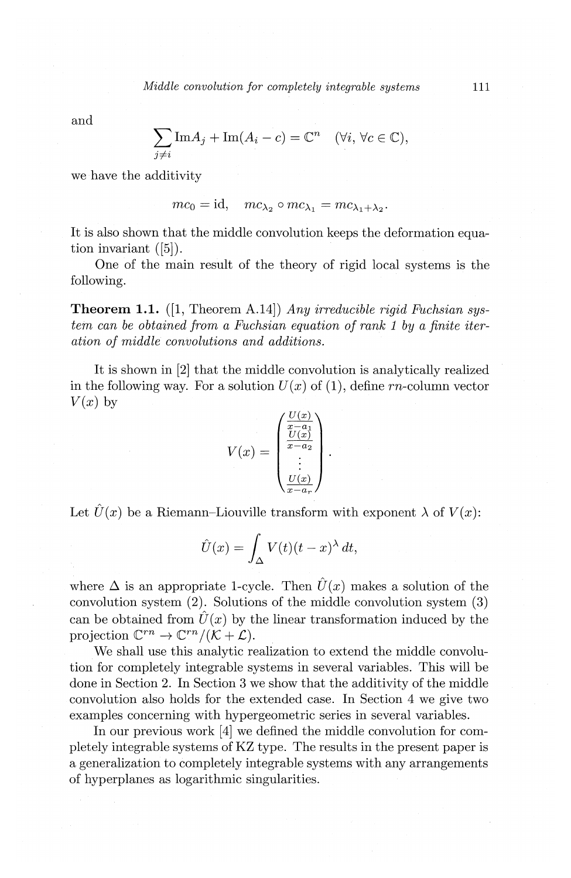and

$$
\sum_{j \neq i} \text{Im} A_j + \text{Im} (A_i - c) = \mathbb{C}^n \quad (\forall i, \, \forall c \in \mathbb{C}),
$$

we have the additivity

$$
mc_0 = id
$$
,  $mc_{\lambda_2} \circ mc_{\lambda_1} = mc_{\lambda_1 + \lambda_2}$ .

It is also shown that the middle convolution keeps the deformation equation invariant  $([5])$ .

One of the main result of the theory of rigid local systems is the following.

**Theorem 1.1.** ([1, Theorem A.14]) *Any irreducible rigid Fuchsian system can be obtained from a Fuchsian equation of rank 1 by a finite iteration of middle convolutions and additions.* 

It is shown in [2] that the middle convolution is analytically realized<br>
ne following way. For a solution  $U(x)$  of (1), define rn-column vector<br>
(by )<br>
by<br>  $V(x) = \begin{pmatrix} \frac{U(x)}{x-a_2} \\ \frac{U(x)}{x-a_2} \end{pmatrix}$ in the following way. For a solution  $U(x)$  of (1), define rn-column vector  $V(x)$  by

$$
V(x) = \begin{pmatrix} \frac{U(x)}{x-a_1} \\ \frac{U(x)}{x-a_2} \\ \vdots \\ \frac{U(x)}{x-a_r} \end{pmatrix}.
$$

Let  $\hat{U}(x)$  be a Riemann-Liouville transform with exponent  $\lambda$  of  $V(x)$ :

$$
\hat{U}(x) = \int_{\Delta} V(t)(t-x)^{\lambda} dt,
$$

where  $\Delta$  is an appropriate 1-cycle. Then  $\hat{U}(x)$  makes a solution of the convolution system (2). Solutions of the middle convolution system (3) can be obtained from  $\hat{U}(x)$  by the linear transformation induced by the projection  $\mathbb{C}^{rn} \to \mathbb{C}^{rn}/(\mathcal{K} + \mathcal{L}).$ 

We shall use this analytic realization to extend the middle convolution for completely integrable systems in several variables. This will be done in Section 2. In Section 3 we show that the additivity of the middle convolution also holds for the extended case. In Section 4 we give two examples concerning with hypergeometric series in several variables.

In our previous work [4] we defined the middle convolution for completely integrable systems of KZ type. The results in the present paper is a generalization to completely integrable systems with any arrangements of hyperplanes as logarithmic singularities.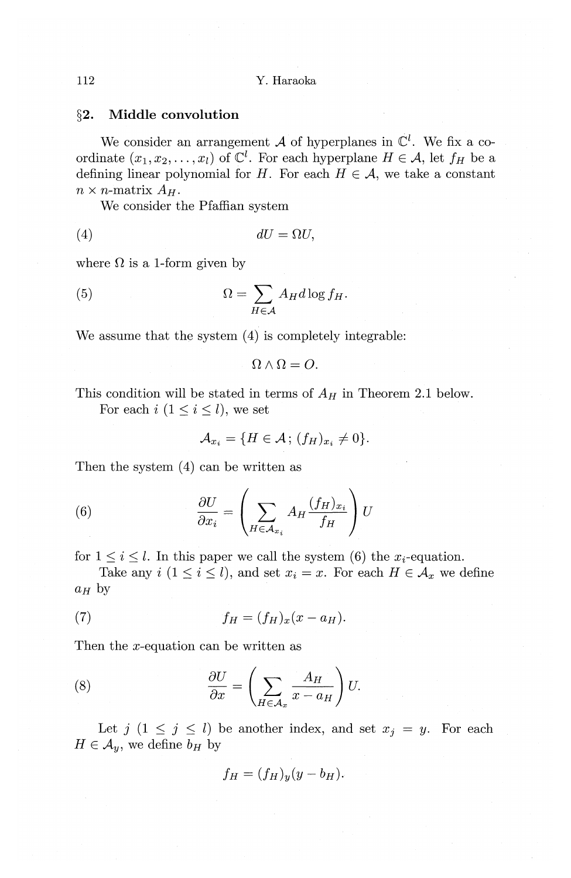## **§2. Middle convolution**

We consider an arrangement A of hyperplanes in  $\mathbb{C}^l$ . We fix a coordinate  $(x_1, x_2, \ldots, x_l)$  of  $\mathbb{C}^l$ . For each hyperplane  $H \in \mathcal{A}$ , let  $f_H$  be a defining linear polynomial for H. For each  $H \in \mathcal{A}$ , we take a constant  $n \times n$ -matrix  $A_H$ .

We consider the Pfaffian system

$$
(4) \t\t dU = \Omega U,
$$

where  $\Omega$  is a 1-form given by

(5) 
$$
\Omega = \sum_{H \in \mathcal{A}} A_H d \log f_H.
$$

We assume that the system  $(4)$  is completely integrable:

$$
\Omega \wedge \Omega = O.
$$

This condition will be stated in terms of  $A_H$  in Theorem 2.1 below. For each  $i$   $(1 \leq i \leq l)$ , we set

$$
\mathcal{A}_{x_i} = \{H \in \mathcal{A}\,;\,(f_H)_{x_i} \neq 0\}.
$$

Then the system  $(4)$  can be written as

(6) 
$$
\frac{\partial U}{\partial x_i} = \left(\sum_{H \in \mathcal{A}_{x_i}} A_H \frac{(f_H)_{x_i}}{f_H}\right) U
$$

for  $1 \leq i \leq l$ . In this paper we call the system (6) the  $x_i$ -equation.

Take any  $i$   $(1 \leq i \leq l)$ , and set  $x_i = x$ . For each  $H \in \mathcal{A}_x$  we define  $a_H$  by

$$
(7) \t\t f_H = (f_H)_x (x - a_H).
$$

Then the x-equation can be written as

(8) 
$$
\frac{\partial U}{\partial x} = \left(\sum_{H \in \mathcal{A}_x} \frac{A_H}{x - a_H}\right) U.
$$

Let  $j$   $(1 \leq j \leq l)$  be another index, and set  $x_j = y$ . For each  $H \in \mathcal{A}_y$ , we define  $b_H$  by

$$
f_H = (f_H)_y (y - b_H).
$$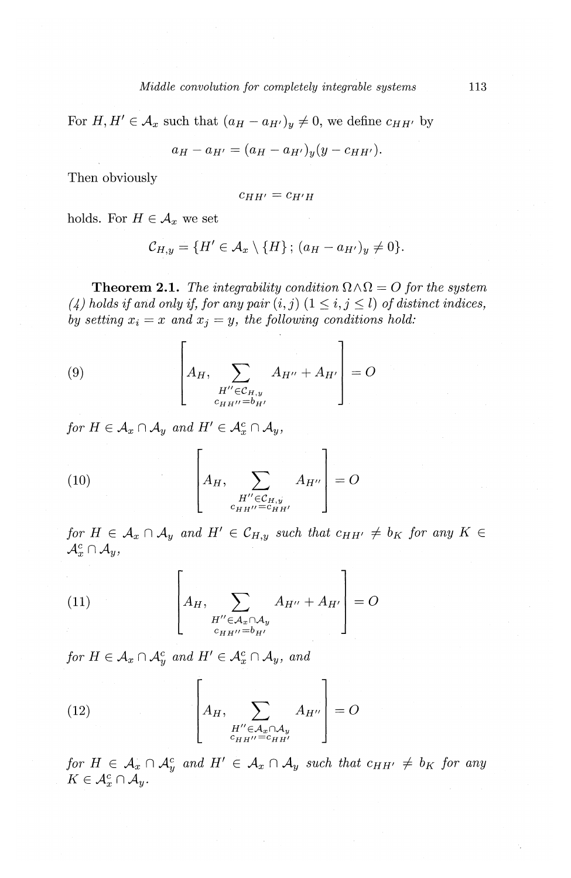For  $H, H' \in \mathcal{A}_x$  such that  $(a_H - a_{H'})_y \neq 0$ , we define  $c_{HH'}$  by

$$
a_H - a_{H'} = (a_H - a_{H'})_y (y - c_{HH'}).
$$

Then obviously

$$
c_{HH'} = c_{H'H}
$$

holds. For  $H \in \mathcal{A}_x$  we set

$$
\mathcal{C}_{H,y} = \{H' \in \mathcal{A}_x \setminus \{H\}; (a_H - a_{H'})_y \neq 0\}.
$$

**Theorem 2.1.** The integrability condition  $\Omega \wedge \Omega = O$  for the system  $(4)$  holds if and only if, for any pair  $(i, j)$   $(1 \leq i, j \leq l)$  of distinct indices, *by setting*  $x_i = x$  and  $x_j = y$ , the following conditions hold:

(9) 
$$
\left[A_H, \sum_{\substack{H'' \in \mathcal{C}_{H,y} \\ c_{HH''} = b_{H'}}} A_{H''} + A_{H'}\right] = O
$$

*for*  $H \in \mathcal{A}_x \cap \mathcal{A}_y$  *and*  $H' \in \mathcal{A}_x^c \cap \mathcal{A}_y$ *,* 

(10) 
$$
\begin{bmatrix} A_H, & A_{H''} \\ A_{H''} & A_{H''} \\ c_{HH''} = c_{HH'} \end{bmatrix} = O
$$

*for*  $H \in \mathcal{A}_x \cap \mathcal{A}_y$  and  $H' \in \mathcal{C}_{H,y}$  such that  $c_{HH'} \neq b_K$  for any  $K \in$  $\mathcal{A}_x^c \cap \mathcal{A}_y$ 

(11) 
$$
\left[A_H, \sum_{\substack{H'' \in \mathcal{A}_x \cap \mathcal{A}_y \\ c_{HH''} = b_{H'}}} A_{H''} + A_{H'}\right] = O
$$

*for*  $H \in \mathcal{A}_x \cap \mathcal{A}_y^c$  *and*  $H' \in \mathcal{A}_x^c \cap \mathcal{A}_y$ *, and* 

(12) 
$$
\left[A_H, \sum_{\substack{H'' \in \mathcal{A}_x \cap \mathcal{A}_y \\ c_{H H''} = c_{H H'}}} A_{H''}\right] = O
$$

*for*  $H \in \mathcal{A}_x \cap \mathcal{A}_y^c$  and  $H' \in \mathcal{A}_x \cap \mathcal{A}_y$  such that  $c_{HH'} \neq b_K$  for any  $K\in\mathcal{A}_{x}^{c}\cap\mathcal{A}_{y}.$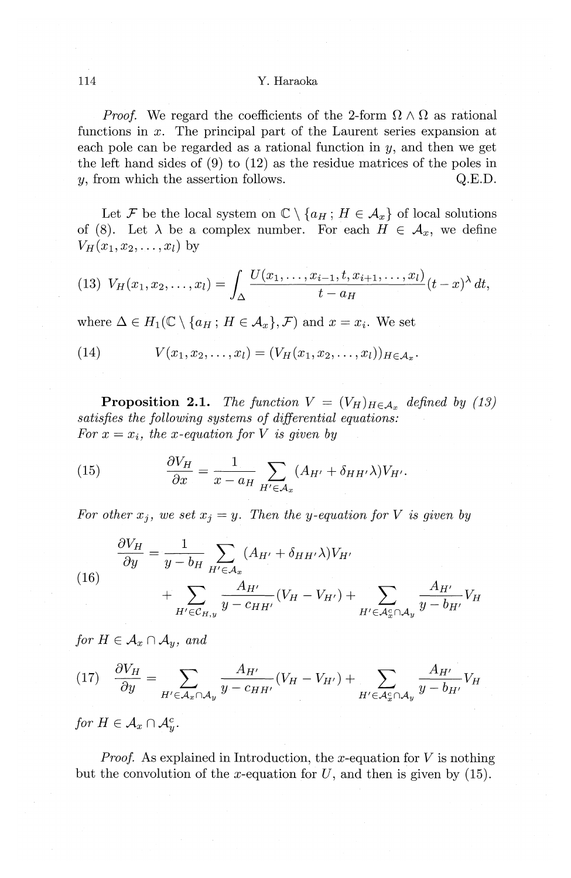#### 114 Y. Haraoka

*Proof.* We regard the coefficients of the 2-form  $\Omega \wedge \Omega$  as rational functions in *x.* The principal part of the Laurent series expansion at each pole can be regarded as a rational function in  $y$ , and then we get the left hand sides of (9) to (12) as the residue matrices of the poles in *y*, from which the assertion follows. Q.E.D.

Let *F* be the local system on  $\mathbb{C} \setminus \{a_H : H \in \mathcal{A}_x\}$  of local solutions of (8). Let  $\lambda$  be a complex number. For each  $H \in \mathcal{A}_x$ , we define  $V_H(x_1, x_2, \ldots, x_l)$  by

(13) 
$$
V_H(x_1, x_2,..., x_l) = \int_{\Delta} \frac{U(x_1,..., x_{i-1}, t, x_{i+1},..., x_l)}{t - a_H} (t - x)^{\lambda} dt,
$$

where  $\Delta \in H_1(\mathbb{C} \setminus \{a_H; H \in \mathcal{A}_x\}, \mathcal{F})$  and  $x = x_i$ . We set

(14) 
$$
V(x_1, x_2,..., x_l) = (V_H(x_1, x_2,..., x_l))_{H \in \mathcal{A}_x}.
$$

**Proposition 2.1.** *The function*  $V = (V_H)_{H \in \mathcal{A}_x}$  defined by (13) *satisfies the following systems of differential equations: For*  $x = x_i$ *, the x-equation for V is given by* 

(15) 
$$
\frac{\partial V_H}{\partial x} = \frac{1}{x - a_H} \sum_{H' \in \mathcal{A}_x} (A_{H'} + \delta_{HH'}\lambda) V_{H'}.
$$

For other  $x_j$ , we set  $x_j = y$ . Then the y-equation for V is given by

(16) 
$$
\frac{\partial V_H}{\partial y} = \frac{1}{y - b_H} \sum_{H' \in \mathcal{A}_x} (A_{H'} + \delta_{HH'}\lambda) V_{H'}
$$

$$
+ \sum_{H' \in \mathcal{C}_{H,y}} \frac{A_{H'}}{y - c_{HH'}} (V_H - V_{H'}) + \sum_{H' \in \mathcal{A}_x^c \cap \mathcal{A}_y} \frac{A_{H'}}{y - b_{H'}} V_H
$$

*for*  $H \in \mathcal{A}_x \cap \mathcal{A}_y$ *, and* 

$$
(17) \quad \frac{\partial V_H}{\partial y} = \sum_{H' \in \mathcal{A}_x \cap \mathcal{A}_y} \frac{A_{H'}}{y - c_{HH'}} (V_H - V_{H'}) + \sum_{H' \in \mathcal{A}_x^c \cap \mathcal{A}_y} \frac{A_{H'}}{y - b_{H'}} V_H
$$

*for*  $H \in \mathcal{A}_x \cap \mathcal{A}_u^c$ .

*Proof.* As explained in Introduction, the x-equation for  $V$  is nothing but the convolution of the x-equation for  $U$ , and then is given by (15).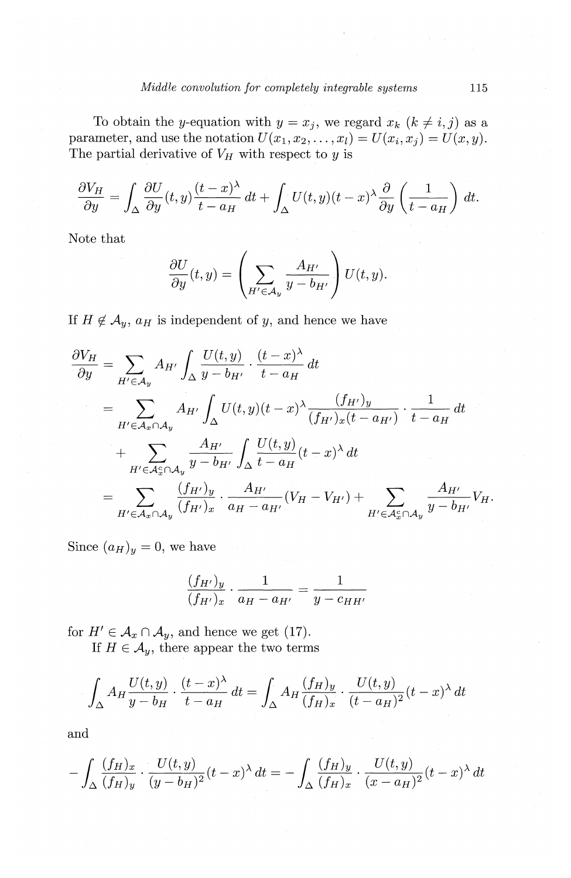To obtain the y-equation with  $y = x_j$ , we regard  $x_k$  ( $k \neq i, j$ ) as a parameter, and use the notation  $U(x_1, x_2, \ldots, x_l) = U(x_i, x_j) = U(x, y)$ . The partial derivative of  $V_H$  with respect to y is

$$
\frac{\partial V_H}{\partial y} = \int_{\Delta} \frac{\partial U}{\partial y}(t, y) \frac{(t - x)^{\lambda}}{t - a_H} dt + \int_{\Delta} U(t, y)(t - x)^{\lambda} \frac{\partial}{\partial y} \left(\frac{1}{t - a_H}\right) dt.
$$

Note that

$$
\frac{\partial U}{\partial y}(t,y) = \left(\sum_{H' \in \mathcal{A}_y} \frac{A_{H'}}{y - b_{H'}}\right) U(t,y).
$$

If  $H \notin A_y$ ,  $a_H$  is independent of y, and hence we have

$$
\frac{\partial V_H}{\partial y} = \sum_{H' \in \mathcal{A}_y} A_{H'} \int_{\Delta} \frac{U(t, y)}{y - b_{H'}} \cdot \frac{(t - x)^{\lambda}}{t - a_H} dt \n= \sum_{H' \in \mathcal{A}_x \cap \mathcal{A}_y} A_{H'} \int_{\Delta} U(t, y)(t - x)^{\lambda} \frac{(f_{H'})_y}{(f_{H'})_x(t - a_{H'})} \cdot \frac{1}{t - a_H} dt \n+ \sum_{H' \in \mathcal{A}_x \cap \mathcal{A}_y} \frac{A_{H'}}{y - b_{H'}} \int_{\Delta} \frac{U(t, y)}{t - a_H} (t - x)^{\lambda} dt \n= \sum_{H' \in \mathcal{A}_x \cap \mathcal{A}_y} \frac{(f_{H'})_y}{(f_{H'})_x} \cdot \frac{A_{H'}}{a_H - a_{H'}} (V_H - V_{H'}) + \sum_{H' \in \mathcal{A}_x^c \cap \mathcal{A}_y} \frac{A_{H'}}{y - b_{H'}} V_H.
$$

Since  $(a_H)_y = 0$ , we have

$$
\frac{(f_{H'})_y}{(f_{H'})_x} \cdot \frac{1}{a_H - a_{H'}} = \frac{1}{y - c_{HH'}}
$$

for  $H' \in \mathcal{A}_x \cap \mathcal{A}_y$ , and hence we get (17).

If  $H \in \mathcal{A}_y$ , there appear the two terms

$$
\int_{\Delta} A_H \frac{U(t, y)}{y - b_H} \cdot \frac{(t - x)^{\lambda}}{t - a_H} dt = \int_{\Delta} A_H \frac{(f_H)_y}{(f_H)_x} \cdot \frac{U(t, y)}{(t - a_H)^2} (t - x)^{\lambda} dt
$$

and

$$
-\int_{\Delta} \frac{(f_H)_x}{(f_H)_y} \cdot \frac{U(t,y)}{(y-b_H)^2}(t-x)^{\lambda} dt = -\int_{\Delta} \frac{(f_H)_y}{(f_H)_x} \cdot \frac{U(t,y)}{(x-a_H)^2}(t-x)^{\lambda} dt
$$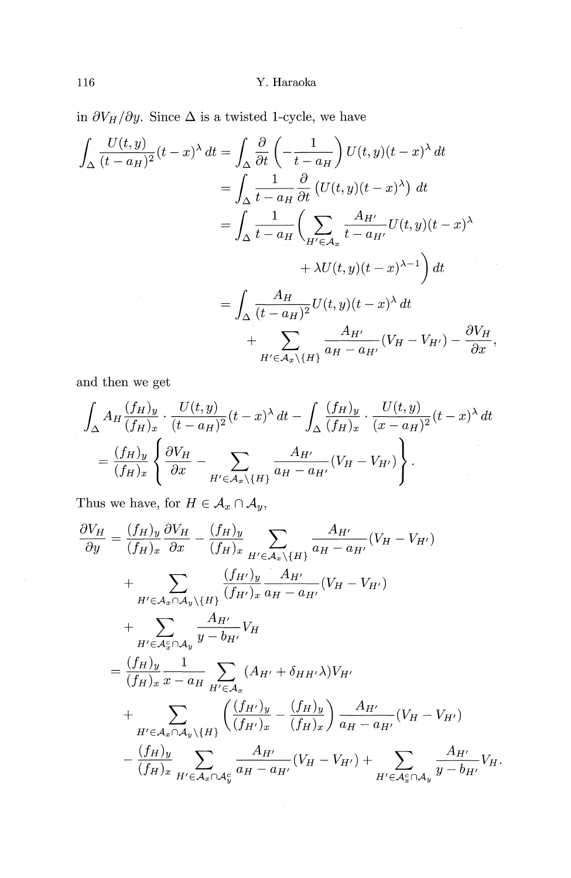in  $\partial V_H/\partial y.$  Since  $\Delta$  is a twisted 1-cycle, we have

$$
\int_{\Delta} \frac{U(t, y)}{(t - a_H)^2} (t - x)^{\lambda} dt = \int_{\Delta} \frac{\partial}{\partial t} \left( -\frac{1}{t - a_H} \right) U(t, y)(t - x)^{\lambda} dt
$$
  
\n
$$
= \int_{\Delta} \frac{1}{t - a_H} \frac{\partial}{\partial t} \left( U(t, y)(t - x)^{\lambda} \right) dt
$$
  
\n
$$
= \int_{\Delta} \frac{1}{t - a_H} \left( \sum_{H' \in \mathcal{A}_x} \frac{A_{H'}}{t - a_{H'}} U(t, y)(t - x)^{\lambda} + \lambda U(t, y)(t - x)^{\lambda - 1} \right) dt
$$
  
\n
$$
= \int_{\Delta} \frac{A_H}{(t - a_H)^2} U(t, y)(t - x)^{\lambda} dt
$$
  
\n
$$
+ \sum_{H' \in \mathcal{A}_x \setminus \{H\}} \frac{A_{H'}}{a_H - a_{H'}} (V_H - V_{H'}) - \frac{\partial V_H}{\partial x},
$$

and then we get

$$
\int_{\Delta} A_H \frac{(f_H)_y}{(f_H)_x} \cdot \frac{U(t, y)}{(t - a_H)^2} (t - x)^{\lambda} dt - \int_{\Delta} \frac{(f_H)_y}{(f_H)_x} \cdot \frac{U(t, y)}{(x - a_H)^2} (t - x)^{\lambda} dt
$$

$$
= \frac{(f_H)_y}{(f_H)_x} \left\{ \frac{\partial V_H}{\partial x} - \sum_{H' \in \mathcal{A}_x \setminus \{H\}} \frac{A_{H'}}{a_H - a_{H'}} (V_H - V_{H'}) \right\}.
$$

Thus we have, for  $H \in \mathcal{A}_x \cap \mathcal{A}_y$ ,

$$
\frac{\partial V_H}{\partial y} = \frac{(f_H)_y}{(f_H)_x} \frac{\partial V_H}{\partial x} - \frac{(f_H)_y}{(f_H)_x} \sum_{H' \in \mathcal{A}_x \setminus \{H\}} \frac{A_{H'}}{a_H - a_{H'}} (V_H - V_{H'})
$$
\n
$$
+ \sum_{H' \in \mathcal{A}_x \cap \mathcal{A}_y \setminus \{H\}} \frac{(f_{H'})_y}{(f_{H'})_x} \frac{A_{H'}}{a_H - a_{H'}} (V_H - V_{H'})
$$
\n
$$
+ \sum_{H' \in \mathcal{A}_x \cap \mathcal{A}_y} \frac{A_{H'}}{y - b_{H'}} V_H
$$
\n
$$
= \frac{(f_H)_y}{(f_H)_x} \frac{1}{x - a_H} \sum_{H' \in \mathcal{A}_x} (A_{H'} + \delta_{HH'} \lambda) V_{H'}
$$
\n
$$
+ \sum_{H' \in \mathcal{A}_x \cap \mathcal{A}_y \setminus \{H\}} \left( \frac{(f_{H'})_y}{(f_{H'})_x} - \frac{(f_H)_y}{(f_H)_x} \right) \frac{A_{H'}}{a_H - a_{H'}} (V_H - V_{H'})
$$
\n
$$
- \frac{(f_H)_y}{(f_H)_x} \sum_{H' \in \mathcal{A}_x \cap \mathcal{A}_y} \frac{A_{H'}}{a_H - a_{H'}} (V_H - V_{H'}) + \sum_{H' \in \mathcal{A}_x \cap \mathcal{A}_y} \frac{A_{H'}}{y - b_{H'}} V_H
$$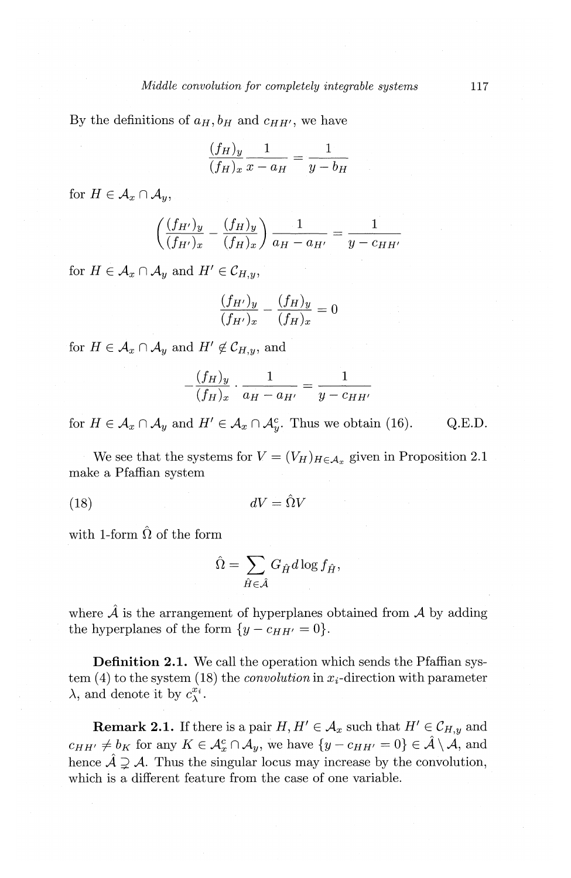By the definitions of  $a_H$ ,  $b_H$  and  $c_{HH'}$ , we have

$$
\frac{(f_H)_y}{(f_H)_x} \frac{1}{x - a_H} = \frac{1}{y - b_H}
$$

for  $H \in \mathcal{A}_r \cap \mathcal{A}_u$ .

$$
\left(\frac{(f_{H'})_y}{(f_{H'})_x} - \frac{(f_H)_y}{(f_H)_x}\right) \frac{1}{a_H - a_{H'}} = \frac{1}{y - c_{HH'}}
$$

for  $H \in \mathcal{A}_x \cap \mathcal{A}_y$  and  $H' \in \mathcal{C}_{H,y}$ ,

$$
\frac{(f_{H'})_y}{(f_{H'})_x} - \frac{(f_H)_y}{(f_H)_x} = 0
$$

for  $H \in \mathcal{A}_x \cap \mathcal{A}_y$  and  $H' \notin \mathcal{C}_{H,y}$ , and

$$
-\frac{(f_H)_y}{(f_H)_x} \cdot \frac{1}{a_H - a_{H'}} = \frac{1}{y - c_{HH'}}
$$

for  $H \in \mathcal{A}_x \cap \mathcal{A}_y$  and  $H' \in \mathcal{A}_x \cap \mathcal{A}_y^c$ . Thus we obtain (16). Q.E.D.

We see that the systems for  $V = (V_H)_{H \in \mathcal{A}_x}$  given in Proposition 2.1 make a Pfaffian system

(18)  $dV=\hat{\Omega}V$ 

with 1-form  $\hat{\Omega}$  of the form

$$
\hat{\Omega} = \sum_{\hat{H} \in \hat{\mathcal{A}}} G_{\hat{H}} d \log f_{\hat{H}},
$$

where  $\hat{\mathcal{A}}$  is the arrangement of hyperplanes obtained from  $\mathcal{A}$  by adding the hyperplanes of the form  $\{y-c_{HH'}=0\}.$ 

**Definition 2.1.** We call the operation which sends the Pfaffian system  $(4)$  to the system  $(18)$  the *convolution* in  $x_i$ -direction with parameter  $\lambda$ , and denote it by  $c_{\lambda}^{x_i}$ .

**Remark 2.1.** If there is a pair  $H, H' \in \mathcal{A}_x$  such that  $H' \in \mathcal{C}_{H,y}$  and  $c_{HH'} \neq b_K$  for any  $K \in \mathcal{A}_{x}^c \cap \mathcal{A}_{y}$ , we have  $\{y - c_{HH'} = 0\} \in \hat{\mathcal{A}} \setminus \mathcal{A}$ , and hence  $\hat{\mathcal{A}} \supsetneq \mathcal{A}$ . Thus the singular locus may increase by the convolution, which is a different feature from the case of one variable.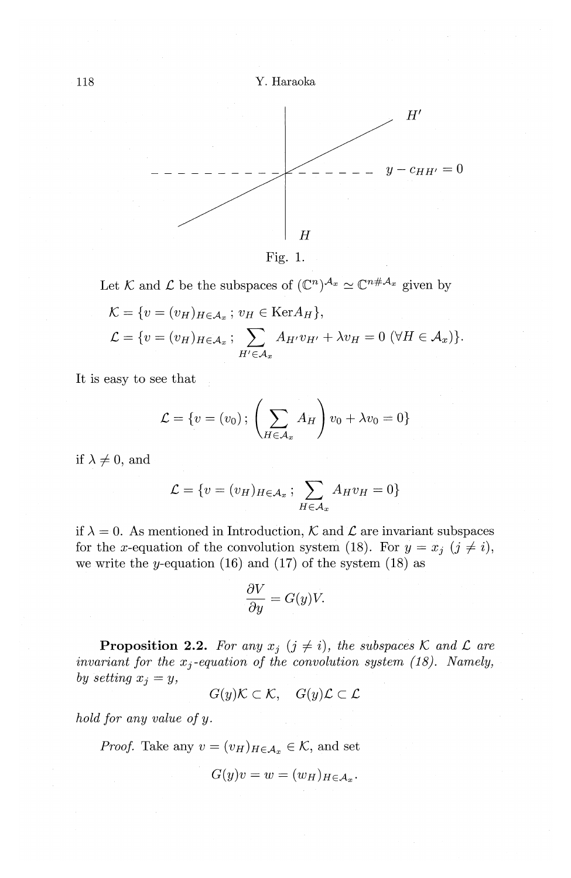



Let  $K$  and  $\mathcal L$  be the subspaces of  $(\mathbb C^n)^{\mathcal A_x} \simeq \mathbb C^{n \# \mathcal A_x}$  given by

$$
\mathcal{K} = \{ v = (v_H)_{H \in \mathcal{A}_x} ; v_H \in \text{Ker} A_H \},
$$
  

$$
\mathcal{L} = \{ v = (v_H)_{H \in \mathcal{A}_x} ; \sum_{H' \in \mathcal{A}_x} A_{H'} v_{H'} + \lambda v_H = 0 \ (\forall H \in \mathcal{A}_x) \}.
$$

It is easy to see that

$$
\mathcal{L} = \{v = (v_0) \,;\, \left(\sum_{H \in \mathcal{A}_x} A_H\right) v_0 + \lambda v_0 = 0\}
$$

if  $\lambda \neq 0$ , and

$$
\mathcal{L} = \{ v = (v_H)_{H \in \mathcal{A}_x} ; \sum_{H \in \mathcal{A}_x} A_H v_H = 0 \}
$$

if  $\lambda = 0$ . As mentioned in Introduction, *K* and *L* are invariant subspaces for the x-equation of the convolution system (18). For  $y = x_j$  ( $j \neq i$ ), we write the y-equation  $(16)$  and  $(17)$  of the system  $(18)$  as

$$
\frac{\partial V}{\partial y} = G(y)V.
$$

**Proposition 2.2.** For any  $x_j$  ( $j \neq i$ ), the subspaces  $\mathcal{K}$  and  $\mathcal{L}$  are *invariant for the*  $x_i$ *-equation of the convolution system (18). Namely, by setting*  $x_j = y$ ,

 $G(y) \mathcal{K} \subset \mathcal{K}$ ,  $G(y) \mathcal{L} \subset \mathcal{L}$ 

*hold for any value of y.* 

*Proof.* Take any  $v = (v_H)_{H \in \mathcal{A}_x} \in \mathcal{K}$ , and set

$$
G(y)v = w = (w_H)_{H \in \mathcal{A}_x}.
$$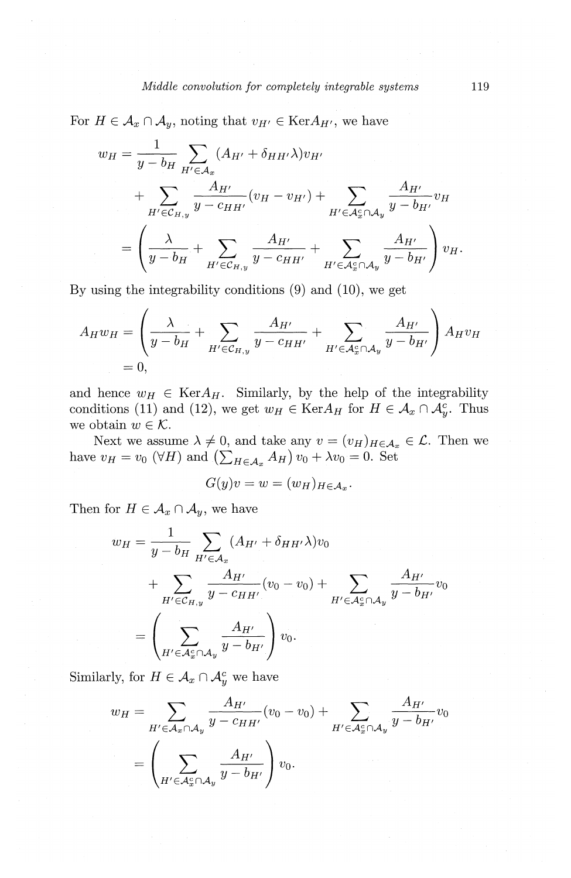For 
$$
H \in A_x \cap A_y
$$
, noting that  $v_{H'} \in \text{Ker}A_{H'}$ , we have  
\n
$$
w_H = \frac{1}{y - b_H} \sum_{H' \in A_x} (A_{H'} + \delta_{HH'}\lambda) v_{H'}
$$
\n
$$
+ \sum_{H' \in C_{H,y}} \frac{A_{H'}}{y - c_{HH'}} (v_H - v_{H'}) + \sum_{H' \in A_x^c \cap A_y} \frac{A_{H'}}{y - b_{H'}} v_H
$$
\n
$$
= \left(\frac{\lambda}{y - b_H} + \sum_{H' \in C_{H,y}} \frac{A_{H'}}{y - c_{HH'}} + \sum_{H' \in A_x^c \cap A_y} \frac{A_{H'}}{y - b_{H'}}\right) v_H.
$$

By using the integrability conditions (9) and (10), we get

$$
A_H w_H = \left(\frac{\lambda}{y - b_H} + \sum_{H' \in \mathcal{C}_{H,y}} \frac{A_{H'}}{y - c_{HH'}} + \sum_{H' \in \mathcal{A}_x^c \cap \mathcal{A}_y} \frac{A_{H'}}{y - b_{H'}}\right) A_H v_H
$$
  
= 0,

and hence  $w_H \in \text{Ker}A_H$ . Similarly, by the help of the integrability conditions (11) and (12), we get  $w_H \in \text{Ker} A_H$  for  $H \in \mathcal{A}_x \cap \mathcal{A}_y^c$ . Thus we obtain  $w \in \mathcal{K}$ .

Next we assume  $\lambda \neq 0$ , and take any  $v = (v_H)_{H \in \mathcal{A}_x} \in \mathcal{L}$ . Then we have  $v_H = v_0$  ( $\forall H$ ) and  $\left(\sum_{H \in A_n} A_H\right) v_0 + \lambda v_0 = 0$ . Set

$$
G(y)v = w = (w_H)_{H \in \mathcal{A}_x}.
$$

Then for  $H \in \mathcal{A}_x \cap \mathcal{A}_y$ , we have

$$
w_H = \frac{1}{y - b_H} \sum_{H' \in A_x} (A_{H'} + \delta_{HH'}\lambda) v_0
$$
  
+ 
$$
\sum_{H' \in C_{H,y}} \frac{A_{H'}}{y - c_{HH'}} (v_0 - v_0) + \sum_{H' \in A_x^c \cap A_y} \frac{A_{H'}}{y - b_{H'}} v_0
$$
  
= 
$$
\left(\sum_{H' \in A_x^c \cap A_y} \frac{A_{H'}}{y - b_{H'}}\right) v_0.
$$

Similarly, for  $H \in \mathcal{A}_x \cap \mathcal{A}_y^c$  we have

$$
w_H = \sum_{H' \in \mathcal{A}_x \cap \mathcal{A}_y} \frac{A_{H'}}{y - c_{HH'}} (v_0 - v_0) + \sum_{H' \in \mathcal{A}_x^c \cap \mathcal{A}_y} \frac{A_{H'}}{y - b_{H'}} v_0
$$
  
= 
$$
\left(\sum_{H' \in \mathcal{A}_x^c \cap \mathcal{A}_y} \frac{A_{H'}}{y - b_{H'}}\right) v_0.
$$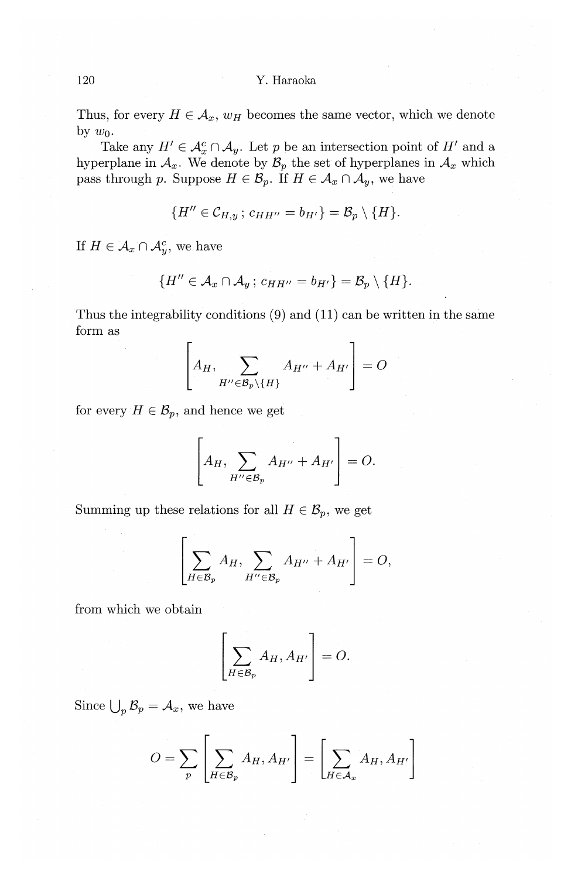### 120 Y.Haraoka

Thus, for every  $H \in \mathcal{A}_x$ ,  $w_H$  becomes the same vector, which we denote by  $w_0$ .

Take any  $H' \in \mathcal{A}_x^c \cap \mathcal{A}_y$ . Let p be an intersection point of  $H'$  and a hyperplane in  $A_x$ . We denote by  $B_p$  the set of hyperplanes in  $A_x$  which pass through p. Suppose  $H \in \mathcal{B}_p$ . If  $H \in \mathcal{A}_x \cap \mathcal{A}_y$ , we have

$$
\{H''\in \mathcal{C}_{H,y}\,;\, c_{HH''}=b_{H'}\}=\mathcal{B}_p\setminus\{H\}.
$$

If  $H \in \mathcal{A}_x \cap \mathcal{A}_y^c$ , we have

$$
\{H''\in \mathcal{A}_x\cap \mathcal{A}_y \, ; \, c_{HH''}=b_{H'}\}=\mathcal{B}_p\setminus \{H\}.
$$

Thus the integrability conditions (9) and (11) can be written in the same form as

$$
\left[A_H, \sum_{H'' \in \mathcal{B}_p \setminus \{H\}} A_{H''} + A_{H'}\right] = O
$$

for every  $H \in \mathcal{B}_p$ , and hence we get

$$
\left[A_H, \sum_{H'' \in \mathcal{B}_p} A_{H''} + A_{H'}\right] = O.
$$

Summing up these relations for all  $H \in \mathcal{B}_p$ , we get

$$
\left[\sum_{H\in\mathcal{B}_p}A_H,\sum_{H''\in\mathcal{B}_p}A_{H''}+A_{H'}\right]=O,
$$

from which we obtain

$$
\left[\sum_{H \in \mathcal{B}_p} A_H, A_{H'}\right] = O.
$$

Since  $\bigcup_{p} \mathcal{B}_{p} = \mathcal{A}_{x}$ , we have

$$
O = \sum_{p} \left[ \sum_{H \in \mathcal{B}_p} A_H, A_{H'} \right] = \left[ \sum_{H \in \mathcal{A}_x} A_H, A_{H'} \right]
$$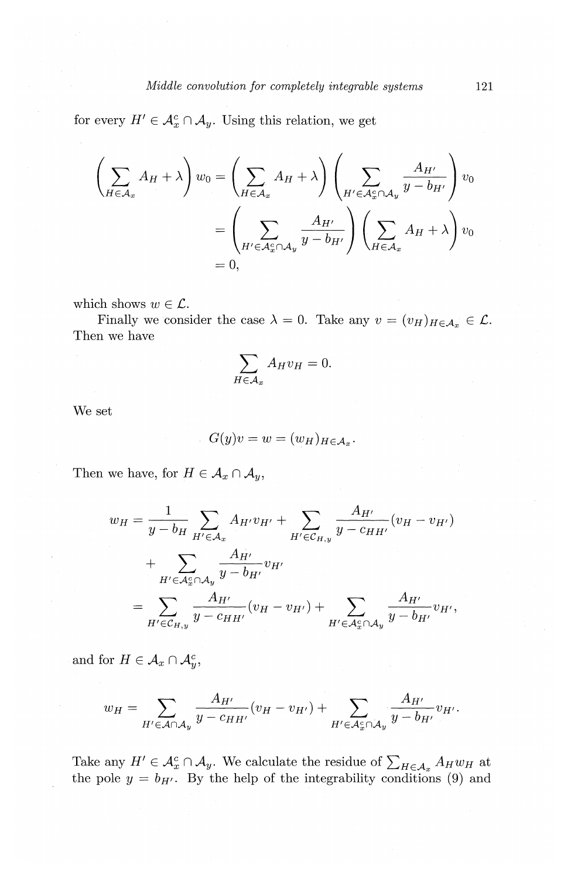for every  $H' \in \mathcal{A}_x^c \cap \mathcal{A}_y$ . Using this relation, we get

$$
\left(\sum_{H \in \mathcal{A}_x} A_H + \lambda\right) w_0 = \left(\sum_{H \in \mathcal{A}_x} A_H + \lambda\right) \left(\sum_{H' \in \mathcal{A}_x^c \cap \mathcal{A}_y} \frac{A_{H'}}{y - b_{H'}}\right) v_0
$$

$$
= \left(\sum_{H' \in \mathcal{A}_x^c \cap \mathcal{A}_y} \frac{A_{H'}}{y - b_{H'}}\right) \left(\sum_{H \in \mathcal{A}_x} A_H + \lambda\right) v_0
$$

$$
= 0,
$$

which shows  $w \in \mathcal{L}$ .

Finally we consider the case  $\lambda = 0$ . Take any  $v = (v_H)_{H \in \mathcal{A}_x} \in \mathcal{L}$ . Then we have

$$
\sum_{H \in \mathcal{A}_x} A_H v_H = 0.
$$

We set

$$
G(y)v = w = (w_H)_{H \in \mathcal{A}_x}.
$$

Then we have, for  $H \in \mathcal{A}_x \cap \mathcal{A}_y$ ,

$$
w_H = \frac{1}{y - b_H} \sum_{H' \in \mathcal{A}_x} A_{H'} v_{H'} + \sum_{H' \in \mathcal{C}_{H,y}} \frac{A_{H'}}{y - c_{HH'}} (v_H - v_{H'})
$$
  
+ 
$$
\sum_{H' \in \mathcal{A}_x^c \cap \mathcal{A}_y} \frac{A_{H'}}{y - b_{H'}} v_{H'}
$$
  
= 
$$
\sum_{H' \in \mathcal{C}_{H,y}} \frac{A_{H'}}{y - c_{HH'}} (v_H - v_{H'}) + \sum_{H' \in \mathcal{A}_x^c \cap \mathcal{A}_y} \frac{A_{H'}}{y - b_{H'}} v_{H'},
$$

and for  $H \in \mathcal{A}_x \cap \mathcal{A}_y^c$ ,

$$
w_H = \sum_{H' \in \mathcal{A} \cap \mathcal{A}_y} \frac{A_{H'}}{y - c_{HH'}} (v_H - v_{H'}) + \sum_{H' \in \mathcal{A}_x^c \cap \mathcal{A}_y} \frac{A_{H'}}{y - b_{H'}} v_{H'}.
$$

Take any  $H' \in \mathcal{A}_{x}^{c} \cap \mathcal{A}_{y}$ . We calculate the residue of  $\sum_{H \in \mathcal{A}_{x}} A_{H}w_{H}$  at the pole  $y = b_{H'}$ . By the help of the integrability conditions (9) and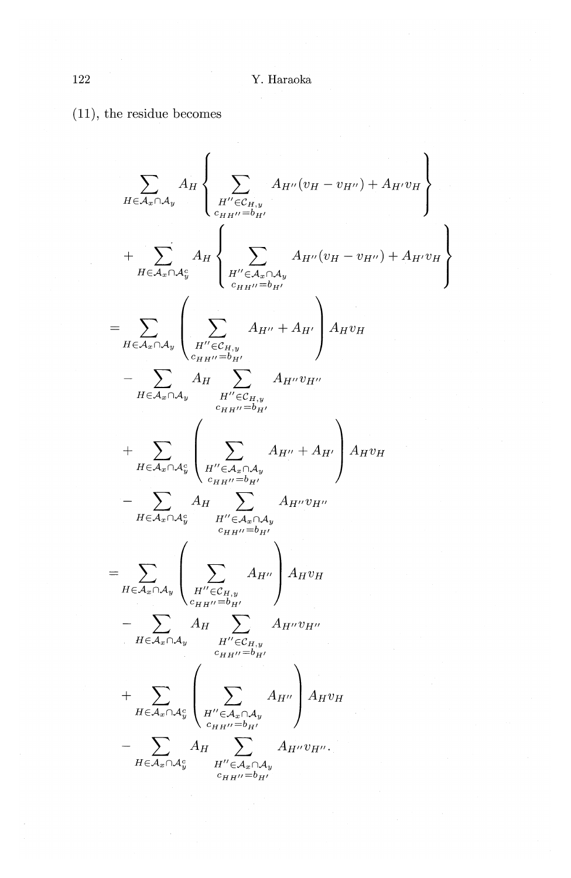(11), the residue becomes

$$
\sum_{H \in A_x \cap A_y} A_H \left\{ \sum_{H'' \in C_{H,y}} A_{H''}(v_H - v_{H''}) + A_{H'}v_H \right\}
$$
\n
$$
+ \sum_{H \in A_x \cap A_y} A_H \left\{ \sum_{H'' \in A_x \cap A_y} A_{H''}(v_H - v_{H''}) + A_{H'}v_H \right\}
$$
\n
$$
= \sum_{H \in A_x \cap A_y} \left( \sum_{H'' \in C_{H,y}} A_{H''} + A_{H'} \right) A_{H}v_H
$$
\n
$$
- \sum_{H \in A_x \cap A_y} A_H \sum_{H'' \in C_{H,y}} A_{H''}v_{H''}
$$
\n
$$
+ \sum_{H \in A_x \cap A_y} \left( \sum_{H'' \in C_{H,y}} A_{H''}v_{H''}
$$
\n
$$
+ \sum_{H \in A_x \cap A_y} \left( \sum_{H'' \in A_x \cap A_y} A_{H''} + A_{H'} \right) A_{H}v_H
$$
\n
$$
- \sum_{H \in A_x \cap A_y} A_H \sum_{H'' \in A_x \cap A_y} A_{H''}v_{H''}
$$
\n
$$
= \sum_{H \in A_x \cap A_y} \left( \sum_{H'' \in C_{H,y}} A_{H''} \right) A_{H}v_H
$$
\n
$$
+ \sum_{H \in A_x \cap A_y} \left( \sum_{H'' \in C_{H,y}} A_{H''} \right) A_{H}v_H
$$
\n
$$
+ \sum_{H \in A_x \cap A_y} A_H \sum_{H'' \in C_{H,y}} A_{H''}v_{H''}
$$
\n
$$
+ \sum_{H \in A_x \cap A_y} \left( \sum_{H'' \in A_x \cap A_y} A_{H''} \right) A_{H}v_H
$$
\n
$$
- \sum_{H \in A_x \cap A_y} A_H \sum_{H'' \in A_x \cap A_y} A_{H''}v_{H''}.
$$
\n
$$
+ \sum_{H \in A_x \cap A_y} A_H \sum_{H'' \in A_x \cap A_y} A_{H''}v_{H''}.
$$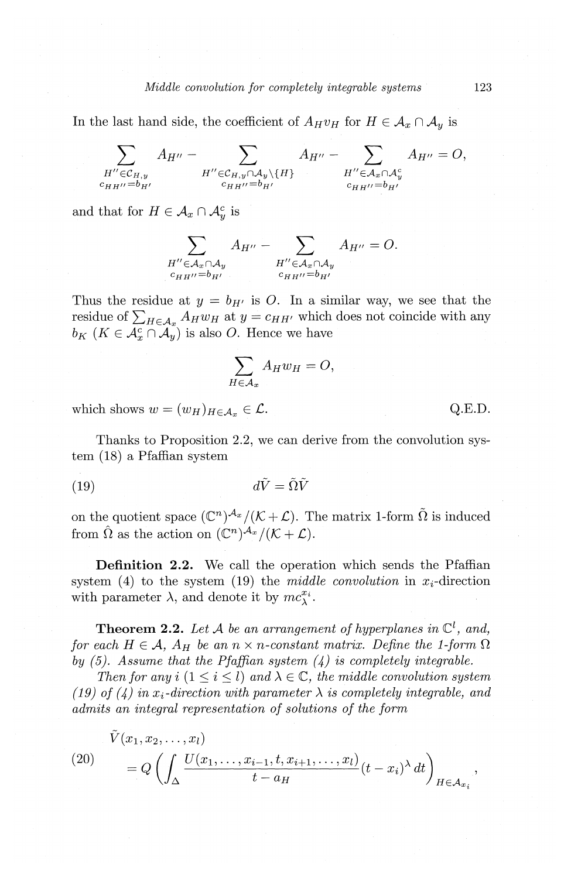In the last hand side, the coefficient of  $A_Hv_H$  for  $H \in \mathcal{A}_x \cap \mathcal{A}_y$  is

$$
\sum_{\substack{H''\in\mathcal{C}_{H,y}\\c_{H H''}=b_{H'}}}A_{H''}-\sum_{\substack{H''\in\mathcal{C}_{H,y}\cap\mathcal{A}_y\backslash\{H\}\\c_{H H''}=b_{H'}}}A_{H''}-\sum_{\substack{H''\in\mathcal{A}_x\cap\mathcal{A}_y^c\\c_{H H''}=b_{H'}}}A_{H''}=O,
$$

and that for  $H \in \mathcal{A}_x \cap \mathcal{A}_y^c$  is

 $H''\!\!\in\!\!\mathcal{A}_x\!\cap\!\mathcal{A}_y$  $c_{HH}$ <sup>*n*</sup>= $b_{H}$ <sup>*n*</sup>  $H'' \in A_x \cap A_y$ <br>  $c_{HH''}=b_{H'}$ 

Thus the residue at  $y = b_{H'}$  is O. In a similar way, we see that the residue of  $\sum_{H \in \mathcal{A}_x} A_H w_H$  at  $y = c_{HH'}$  which does not coincide with any  $b_K$  ( $K \in \mathcal{A}_{x}^c \cap \mathcal{A}_{y}$ ) is also O. Hence we have

$$
\sum_{H \in \mathcal{A}_x} A_H w_H = O,
$$

which shows  $w = (w_H)_{H \in \mathcal{A}_x} \in \mathcal{L}$ . Q.E.D.

Thanks to Proposition 2.2, we can derive from the convolution system (18) a Pfaffian system

$$
(19) \t\t d\tilde{V} = \tilde{\Omega}\tilde{V}
$$

on the quotient space  $(\mathbb{C}^n)^{\mathcal{A}_x}/(\mathcal{K}+\mathcal{L})$ . The matrix 1-form  $\tilde{\Omega}$  is induced from  $\hat{\Omega}$  as the action on  $({\mathbb C}^n)^{{\mathcal A}_x}/({\mathcal K} + {\mathcal L}).$ 

**Definition 2.2.** We call the operation which sends the Pfaffian system (4) to the system (19) the *middle convolution* in  $x_i$ -direction with parameter  $\lambda$ , and denote it by  $mc_{\lambda}^{x_i}$ .

**Theorem 2.2.** Let A be an arrangement of hyperplanes in  $\mathbb{C}^l$ , and, *for each*  $H \in \mathcal{A}$ ,  $A_H$  be an  $n \times n$ -constant matrix. Define the 1-form  $\Omega$ *by (5). Assume that the Pfaffian system (4) is completely integrable.* 

*Then for any i*  $(1 \leq i \leq l)$  *and*  $\lambda \in \mathbb{C}$ , *the middle convolution system* (19) of (4) in  $x_i$ -direction with parameter  $\lambda$  *is completely integrable, and admits an integral representation of solutions of the form* 

(20) 
$$
V(x_1, x_2,..., x_l) = Q\left(\int_{\Delta} \frac{U(x_1,...,x_{i-1},t,x_{i+1},...,x_l)}{t-a_H}(t-x_i)^{\lambda} dt\right)_{H \in \mathcal{A}_{x_i}},
$$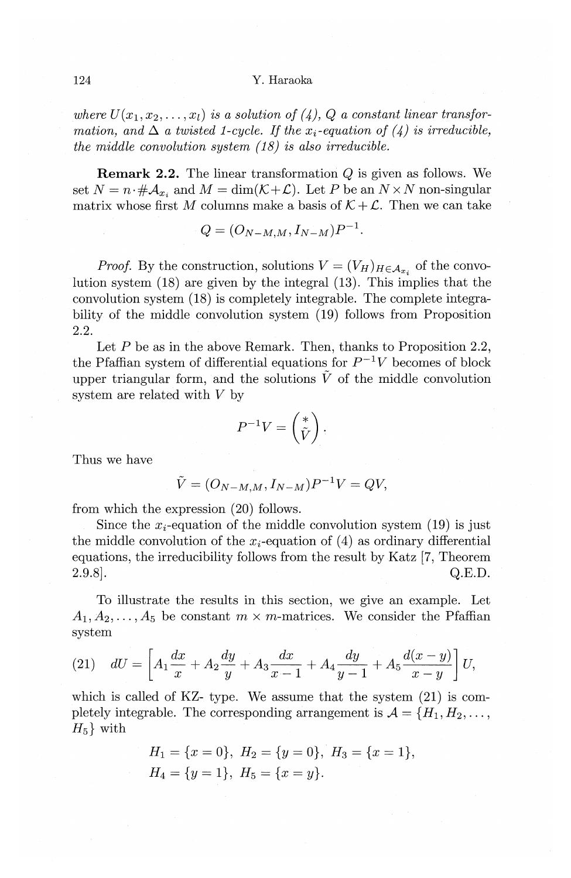#### 124 Y. Haraoka

where  $U(x_1, x_2, \ldots, x_l)$  is a solution of (4), Q a constant linear transfor*mation, and*  $\Delta$  *a twisted 1-cycle. If the x<sub>i</sub>-equation of (4) is irreducible, the middle convolution system {18) is also irreducible.* 

**Remark 2.2.** The linear transformation Q is given as follows. We set  $N = n \cdot #\mathcal{A}_{x_i}$  and  $M = \dim(\mathcal{K} + \mathcal{L})$ . Let P be an  $N \times N$  non-singular matrix whose first M columns make a basis of  $K + \mathcal{L}$ . Then we can take

$$
Q = (O_{N-M,M}, I_{N-M})P^{-1}.
$$

*Proof.* By the construction, solutions  $V = (V_H)_{H \in \mathcal{A}_{x_i}}$  of the convolution system  $(18)$  are given by the integral  $(13)$ . This implies that the convolution system (18) is completely integrable. The complete integrability of the middle convolution system (19) follows from Proposition 2.2.

Let  $P$  be as in the above Remark. Then, thanks to Proposition 2.2, the Pfaffian system of differential equations for  $P^{-1}V$  becomes of block upper triangular form, and the solutions  $\tilde{V}$  of the middle convolution system are related with *V* by

$$
P^{-1}V=\begin{pmatrix}\ast\\\tilde V\end{pmatrix}.
$$

Thus we have

$$
\tilde{V} = (O_{N-M,M}, I_{N-M})P^{-1}V = QV,
$$

from which the expression (20) follows.

Since the  $x_i$ -equation of the middle convolution system (19) is just the middle convolution of the  $x_i$ -equation of (4) as ordinary differential equations, the irreducibility follows from the result by Katz [7, Theorem  $2.9.8$ ]. Q.E.D.

To illustrate the results in this section, we give an example. Let  $A_1, A_2, \ldots, A_5$  be constant  $m \times m$ -matrices. We consider the Pfaffian system

(21) 
$$
dU = \left[A_1 \frac{dx}{x} + A_2 \frac{dy}{y} + A_3 \frac{dx}{x-1} + A_4 \frac{dy}{y-1} + A_5 \frac{d(x-y)}{x-y}\right]U,
$$

which is called of KZ- type. We assume that the system (21) is completely integrable. The corresponding arrangement is  $\mathcal{A} = \{H_1, H_2, \ldots, H_m\}$  $H_5$  with

$$
H_1 = \{x = 0\}, H_2 = \{y = 0\}, H_3 = \{x = 1\},
$$
  

$$
H_4 = \{y = 1\}, H_5 = \{x = y\}.
$$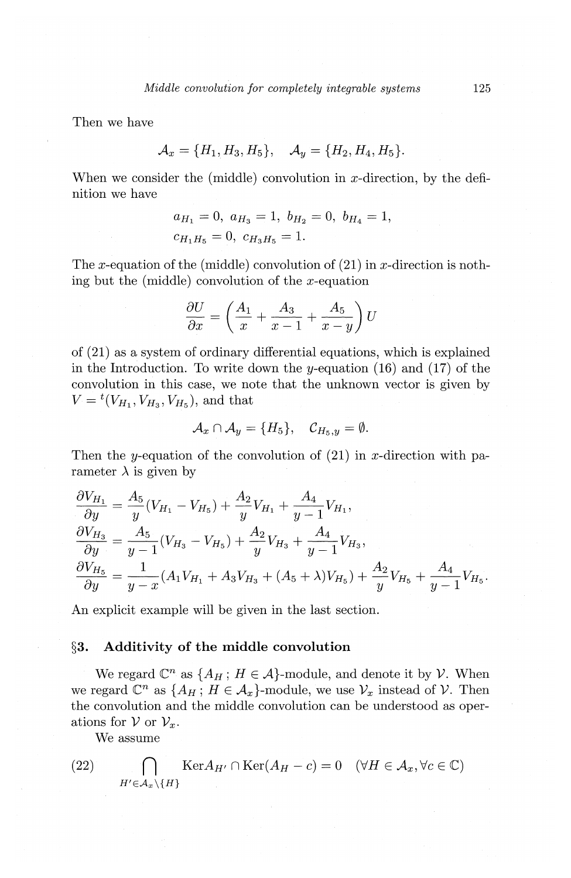Then we have

$$
\mathcal{A}_x = \{H_1, H_3, H_5\}, \quad \mathcal{A}_y = \{H_2, H_4, H_5\}.
$$

When we consider the (middle) convolution in  $x$ -direction, by the definition we have

$$
a_{H_1} = 0
$$
,  $a_{H_3} = 1$ ,  $b_{H_2} = 0$ ,  $b_{H_4} = 1$ ,  
 $c_{H_1H_5} = 0$ ,  $c_{H_3H_5} = 1$ .

The x-equation of the (middle) convolution of  $(21)$  in x-direction is nothing but the (middle) convolution of the  $x$ -equation

$$
\frac{\partial U}{\partial x} = \left(\frac{A_1}{x} + \frac{A_3}{x-1} + \frac{A_5}{x-y}\right)U
$$

of (21) as a system of ordinary differential equations, which is explained in the Introduction. To write down the y-equation  $(16)$  and  $(17)$  of the convolution in this case, we note that the unknown vector is given by  $V = {}^{t}(V_{H_1}, V_{H_3}, V_{H_5})$ , and that

$$
\mathcal{A}_x \cap \mathcal{A}_y = \{H_5\}, \quad \mathcal{C}_{H_5,y} = \emptyset.
$$

Then the y-equation of the convolution of  $(21)$  in x-direction with parameter  $\lambda$  is given by

$$
\frac{\partial V_{H_1}}{\partial y} = \frac{A_5}{y} (V_{H_1} - V_{H_5}) + \frac{A_2}{y} V_{H_1} + \frac{A_4}{y - 1} V_{H_1},
$$
\n
$$
\frac{\partial V_{H_3}}{\partial y} = \frac{A_5}{y - 1} (V_{H_3} - V_{H_5}) + \frac{A_2}{y} V_{H_3} + \frac{A_4}{y - 1} V_{H_3},
$$
\n
$$
\frac{\partial V_{H_5}}{\partial y} = \frac{1}{y - x} (A_1 V_{H_1} + A_3 V_{H_3} + (A_5 + \lambda) V_{H_5}) + \frac{A_2}{y} V_{H_5} + \frac{A_4}{y - 1} V_{H_5}.
$$

An explicit example will be given in the last section.

## **§3. Additivity of the middle convolution**

We regard  $\mathbb{C}^n$  as  $\{A_H: H \in \mathcal{A}\}$ -module, and denote it by  $\mathcal{V}$ . When we regard  $\mathbb{C}^n$  as  $\{A_H: H \in \mathcal{A}_x\}$ -module, we use  $\mathcal{V}_x$  instead of  $\mathcal{V}$ . Then the convolution and the middle convolution can be understood as operations for  $V$  or  $V_x$ .

We assume

(22) 
$$
\bigcap_{H' \in \mathcal{A}_x \setminus \{H\}} \text{Ker} A_{H'} \cap \text{Ker}(A_H - c) = 0 \quad (\forall H \in \mathcal{A}_x, \forall c \in \mathbb{C})
$$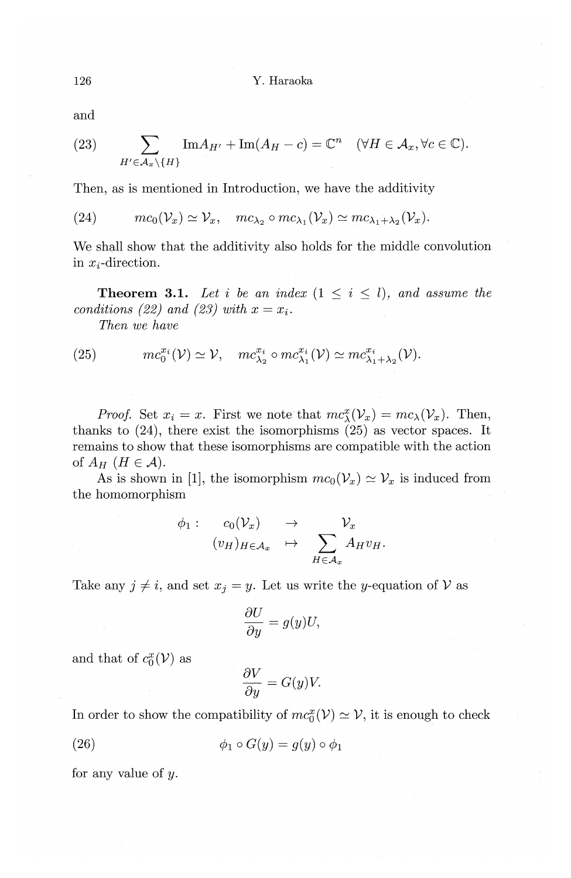and

(23) 
$$
\sum_{H' \in \mathcal{A}_x \setminus \{H\}} \text{Im} A_{H'} + \text{Im}(A_H - c) = \mathbb{C}^n \quad (\forall H \in \mathcal{A}_x, \forall c \in \mathbb{C}).
$$

Then, as is mentioned in Introduction, we have the additivity

(24) 
$$
mc_0(\mathcal{V}_x) \simeq \mathcal{V}_x
$$
,  $mc_{\lambda_2} \circ mc_{\lambda_1}(\mathcal{V}_x) \simeq mc_{\lambda_1+\lambda_2}(\mathcal{V}_x)$ .

We shall show that the additivity also holds for the middle convolution in  $x_i$ -direction.

**Theorem 3.1.** Let *i* be an index  $(1 \leq i \leq l)$ , and assume the *conditions (22)* and (23) with  $x = x_i$ .

*Then we have* 

(25) 
$$
mc_0^{x_i}(\mathcal{V}) \simeq \mathcal{V}, \quad mc_{\lambda_2}^{x_i} \circ mc_{\lambda_1}^{x_i}(\mathcal{V}) \simeq mc_{\lambda_1+\lambda_2}^{x_i}(\mathcal{V}).
$$

*Proof.* Set  $x_i = x$ . First we note that  $mc_\lambda(x) = mc_\lambda(V_x)$ . Then, thanks to  $(24)$ , there exist the isomorphisms  $(25)$  as vector spaces. It remains to show that these isomorphisms are compatible with the action of  $A_H$   $(H \in \mathcal{A})$ .

As is shown in [1], the isomorphism  $mc_0(\mathcal{V}_x) \simeq \mathcal{V}_x$  is induced from the homomorphism

$$
\phi_1: \quad c_0(\mathcal{V}_x) \rightarrow \mathcal{V}_x
$$

$$
(v_H)_{H \in \mathcal{A}_x} \rightarrow \sum_{H \in \mathcal{A}_x} A_H v_H.
$$

Take any  $j \neq i$ , and set  $x_j = y$ . Let us write the y-equation of V as

$$
\frac{\partial U}{\partial y} = g(y)U,
$$

and that of  $c_0^x(V)$  as

$$
\frac{\partial V}{\partial y} = G(y)V.
$$

In order to show the compatibility of  $mc_0^x(V) \simeq V$ , it is enough to check

(26) 
$$
\phi_1 \circ G(y) = g(y) \circ \phi_1
$$

for any value of y.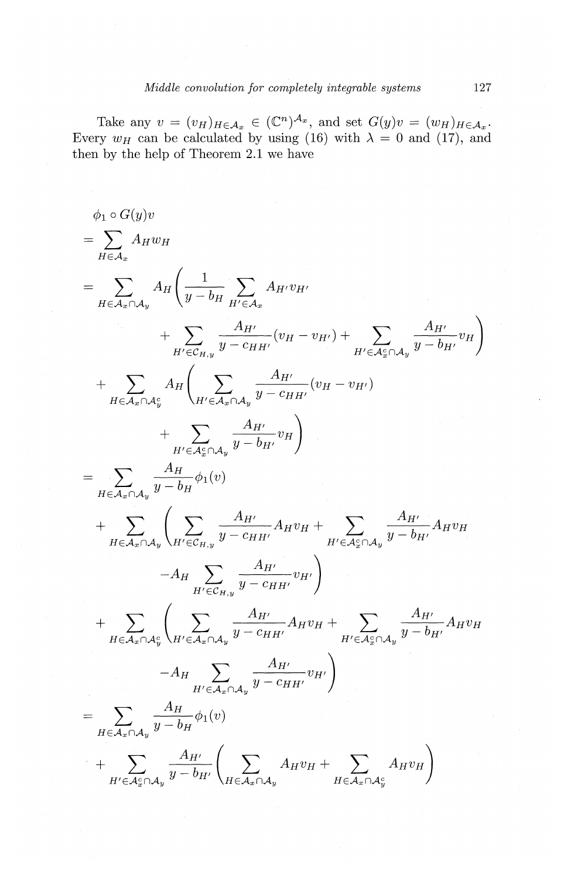Take any  $v = (v_H)_{H \in \mathcal{A}_x} \in (\mathbb{C}^n)^{\mathcal{A}_x}$ , and set  $G(y)v = (w_H)_{H \in \mathcal{A}_x}$ . Every  $w_H$  can be calculated by using (16) with  $\lambda = 0$  and (17), and then by the help of Theorem 2.1 we have

$$
\phi_1 \circ G(y)v
$$
\n
$$
= \sum_{H \in A_x} A_H w_H
$$
\n
$$
= \sum_{H \in A_x \cap A_y} A_H \left( \frac{1}{y - b_H} \sum_{H' \in A_x} A_{H'} v_{H'} \right)
$$
\n
$$
+ \sum_{H' \in C_{H,y}} \frac{A_{H'}}{y - c_H H'} (v_H - v_{H'}) + \sum_{H' \in A_x^c \cap A_y} \frac{A_{H'}}{y - b_{H'}} v_H \right)
$$
\n
$$
+ \sum_{H \in A_x \cap A_y^c} A_H \left( \sum_{H' \in A_x \cap A_y} \frac{A_{H'}}{y - c_H H'} (v_H - v_{H'})
$$
\n
$$
+ \sum_{H' \in A_x^c \cap A_y} \frac{A_{H'}}{y - b_H} v_H \right)
$$
\n
$$
= \sum_{H \in A_x \cap A_y} \frac{A_H}{y - b_H} \phi_1(v)
$$
\n
$$
+ \sum_{H \in A_x \cap A_y} \left( \sum_{H' \in C_{H,y}} \frac{A_{H'}}{y - c_H H'} A_H v_H + \sum_{H' \in A_x^c \cap A_y} \frac{A_{H'}}{y - b_H} A_H v_H \right)
$$
\n
$$
+ \sum_{H \in A_x \cap A_y^c} \left( \sum_{H' \in A_x \cap A_y} \frac{A_{H'}}{y - c_H H'} A_H v_H + \sum_{H' \in A_x^c \cap A_y} \frac{A_{H'}}{y - b_H} A_H v_H \right)
$$
\n
$$
- A_H \sum_{H' \in A_x \cap A_y} \frac{A_{H'}}{y - b_H} v_H v_H
$$
\n
$$
- A_H \sum_{H' \in A_x \cap A_y} \frac{A_{H'}}{y - b_H} v_H v_H
$$
\n
$$
+ \sum_{H \in A_x \cap A_y} \frac{A_{H'}}{y - b_H} \left( \sum_{H \in A_x \cap A_y} A_H v_H + \sum_{H \in A_x \cap A_y} A_H v_H \right)
$$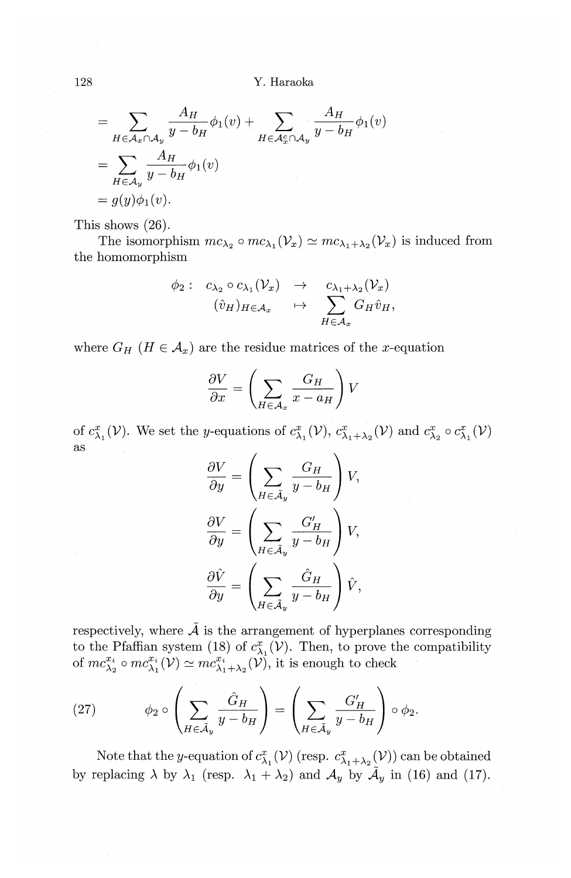128 Y. Haraoka

$$
= \sum_{H \in \mathcal{A}_x \cap \mathcal{A}_y} \frac{A_H}{y - b_H} \phi_1(v) + \sum_{H \in \mathcal{A}_x^c \cap \mathcal{A}_y} \frac{A_H}{y - b_H} \phi_1(v)
$$
  
= 
$$
\sum_{H \in \mathcal{A}_y} \frac{A_H}{y - b_H} \phi_1(v)
$$
  
= 
$$
g(y)\phi_1(v).
$$

This shows (26).

The isomorphism  $mc_{\lambda_2} \circ mc_{\lambda_1}(\mathcal{V}_x) \simeq mc_{\lambda_1+\lambda_2}(\mathcal{V}_x)$  is induced from the homomorphism

$$
\phi_2: \quad c_{\lambda_2} \circ c_{\lambda_1}(\mathcal{V}_x) \quad \to \quad c_{\lambda_1+\lambda_2}(\mathcal{V}_x) \n(\hat{v}_H)_{H \in \mathcal{A}_x} \quad \mapsto \quad \sum_{H \in \mathcal{A}_x} G_H \hat{v}_H,
$$

where  $G_H$  ( $H \in \mathcal{A}_x$ ) are the residue matrices of the x-equation

$$
\frac{\partial V}{\partial x} = \left(\sum_{H \in \mathcal{A}_x} \frac{G_H}{x - a_H}\right) V
$$

of  $c^x_{\lambda_1}(\mathcal{V})$ . We set the y-equations of  $c^x_{\lambda_1}(\mathcal{V}),$   $c^x_{\lambda_1+\lambda_2}(\mathcal{V})$  and  $c^x_{\lambda_2} \circ c^x_{\lambda_1}(\mathcal{V})$ as

$$
\frac{\partial V}{\partial y} = \left(\sum_{H \in \tilde{\mathcal{A}}_y} \frac{G_H}{y - b_H}\right) V,
$$

$$
\frac{\partial V}{\partial y} = \left(\sum_{H \in \tilde{\mathcal{A}}_y} \frac{G'_H}{y - b_H}\right) V,
$$

$$
\frac{\partial \hat{V}}{\partial y} = \left(\sum_{H \in \tilde{\mathcal{A}}_y} \frac{\hat{G}_H}{y - b_H}\right) \hat{V},
$$

respectively, where  $\tilde{A}$  is the arrangement of hyperplanes corresponding to the Pfaffian system (18) of  $c_{\lambda_1}^x(V)$ . Then, to prove the compatibility of  $mc_{\lambda_2}^{x_i} \circ mc_{\lambda_1}^{x_i}(\mathcal{V}) \simeq mc_{\lambda_1+\lambda_2}^{x_i}(\mathcal{V})$ , it is enough to check

(27) 
$$
\phi_2 \circ \left( \sum_{H \in \tilde{\mathcal{A}}_y} \frac{\hat{G}_H}{y - b_H} \right) = \left( \sum_{H \in \tilde{\mathcal{A}}_y} \frac{G'_H}{y - b_H} \right) \circ \phi_2.
$$

Note that the y-equation of  $c_{\lambda_1}^x(\mathcal{V})$  (resp.  $c_{\lambda_1+\lambda_2}^x(\mathcal{V})$ ) can be obtained by replacing  $\lambda$  by  $\lambda_1$  (resp.  $\lambda_1 + \lambda_2$ ) and  $\mathcal{A}_y$  by  $\tilde{\mathcal{A}}_y$  in (16) and (17).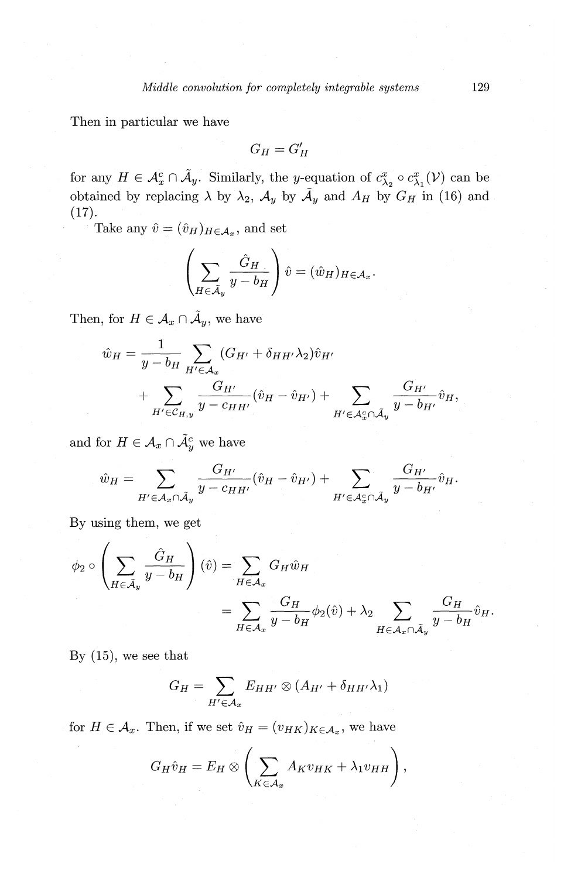Then in particular we have

$$
G_H=G'_H
$$

for any  $H \in \mathcal{A}_x^c \cap \tilde{\mathcal{A}}_y$ . Similarly, the *y*-equation of  $c_{\lambda_2}^x \circ c_{\lambda_1}^x(\mathcal{V})$  can be obtained by replacing  $\lambda$  by  $\lambda_2$ ,  $\mathcal{A}_y$  by  $\tilde{\mathcal{A}}_y$  and  $A_H$  by  $G_H$  in (16) and  $(17).$ 

Take any  $\hat{v} = (\hat{v}_H)_{H \in \mathcal{A}_x}$ , and set

$$
\left(\sum_{H\in \tilde{{\cal A}}_y}\frac{\hat{G}_H}{y-b_H}\right)\hat{v}=(\hat{w}_H)_{H\in {\cal A}_x}.
$$

Then, for  $H \in \mathcal{A}_x \cap \tilde{\mathcal{A}}_y$ , we have

$$
\hat{w}_{H} = \frac{1}{y - b_{H}} \sum_{H' \in \mathcal{A}_{x}} (G_{H'} + \delta_{HH'} \lambda_{2}) \hat{v}_{H'}
$$
  
+ 
$$
\sum_{H' \in \mathcal{C}_{H,y}} \frac{G_{H'}}{y - c_{HH'}} (\hat{v}_{H} - \hat{v}_{H'}) + \sum_{H' \in \mathcal{A}_{x}^{c} \cap \tilde{\mathcal{A}}_{y}} \frac{G_{H'}}{y - b_{H'}} \hat{v}_{H},
$$

and for  $H \in \mathcal{A}_x \cap \tilde{\mathcal{A}}_y^c$  we have

$$
\hat{w}_H = \sum_{H' \in \mathcal{A}_x \cap \tilde{\mathcal{A}}_y} \frac{G_{H'}}{y - c_{HH'}} (\hat{v}_H - \hat{v}_{H'}) + \sum_{H' \in \mathcal{A}_x^c \cap \tilde{\mathcal{A}}_y} \frac{G_{H'}}{y - b_{H'}} \hat{v}_H.
$$

By using them, we get

$$
\phi_2 \circ \left(\sum_{H \in \tilde{\mathcal{A}}_y} \frac{\hat{G}_H}{y - b_H}\right)(\hat{v}) = \sum_{H \in \mathcal{A}_x} G_H \hat{w}_H
$$
  
= 
$$
\sum_{H \in \mathcal{A}_x} \frac{G_H}{y - b_H} \phi_2(\hat{v}) + \lambda_2 \sum_{H \in \mathcal{A}_x \cap \tilde{\mathcal{A}}_y} \frac{G_H}{y - b_H} \hat{v}_H.
$$

By (15), we see that

$$
G_H = \sum_{H' \in \mathcal{A}_x} E_{HH'} \otimes (A_{H'} + \delta_{HH'} \lambda_1)
$$

for  $H \in \mathcal{A}_x$ . Then, if we set  $\hat{v}_H = (v_{HK})_{K \in \mathcal{A}_x}$ , we have

$$
G_H\hat{v}_H = E_H \otimes \left(\sum_{K\in\mathcal{A}_x} A_K v_{HK} + \lambda_1 v_{HH}\right),
$$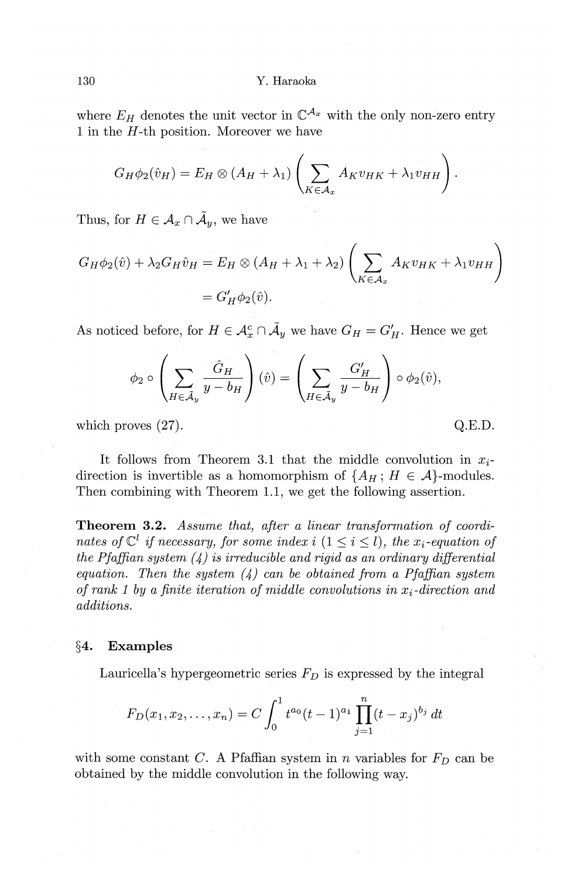where  $E_H$  denotes the unit vector in  $\mathbb{C}^{\mathcal{A}_x}$  with the only non-zero entry 1 in the  $H$ -th position. Moreover we have

$$
G_H\phi_2(\hat{v}_H)=E_H\otimes (A_H+\lambda_1)\left(\sum_{K\in\mathcal{A}_x}A_Kv_{HK}+\lambda_1v_{HH}\right).
$$

Thus, for  $H \in \mathcal{A}_x \cap \tilde{\mathcal{A}}_y$ , we have

$$
G_H \phi_2(\hat{v}) + \lambda_2 G_H \hat{v}_H = E_H \otimes (A_H + \lambda_1 + \lambda_2) \left( \sum_{K \in \mathcal{A}_x} A_K v_{HK} + \lambda_1 v_{HH} \right)
$$
  
=  $G'_H \phi_2(\hat{v}).$ 

As noticed before, for  $H \in \mathcal{A}_x^c \cap \tilde{\mathcal{A}}_y$  we have  $G_H = G'_H$ . Hence we get

$$
\phi_2 \circ \left(\sum_{H \in \tilde{\mathcal{A}}_y} \frac{\hat{G}_H}{y - b_H}\right)(\hat{v}) = \left(\sum_{H \in \tilde{\mathcal{A}}_y} \frac{G'_H}{y - b_H}\right) \circ \phi_2(\hat{v}),
$$

which proves  $(27)$ . Q.E.D.

It follows from Theorem 3.1 that the middle convolution in *Xi*direction is invertible as a homomorphism of  $\{A_H: H \in \mathcal{A}\}$ -modules. Then combining with Theorem 1.1, we get the following assertion.

**Theorem 3.2.** *Assume that, after a linear transformation of coordinates of*  $\mathbb{C}^l$  *if necessary, for some index i*  $(1 \leq i \leq l)$ *, the x<sub>i</sub>-equation of the Pfaffian system (4) is irreducible and rigid as an ordinary differential equation. Then the system (4) can be obtained from a Pfaffian system of rank 1 by a finite iteration of middle convolutions in Xi-direction and additions.* 

#### **§4. Examples**

Lauricella's hypergeometric series  $F_D$  is expressed by the integral

$$
F_D(x_1, x_2,..., x_n) = C \int_0^1 t^{a_0} (t-1)^{a_1} \prod_{j=1}^n (t-x_j)^{b_j} dt
$$

with some constant *C*. A Pfaffian system in *n* variables for  $F<sub>D</sub>$  can be obtained by the middle convolution in the following way.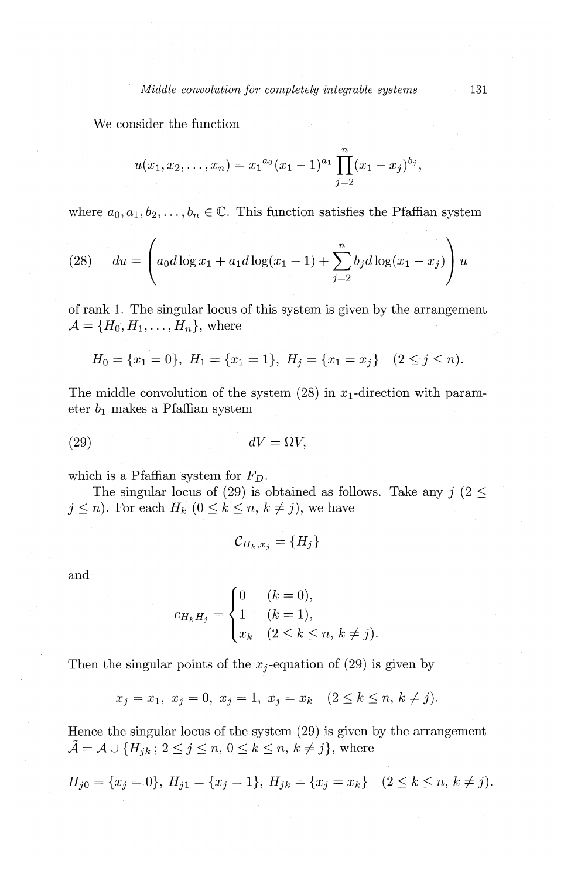We consider the function

$$
u(x_1, x_2,..., x_n) = x_1^{a_0}(x_1 - 1)^{a_1} \prod_{j=2}^n (x_1 - x_j)^{b_j},
$$

where  $a_0, a_1, b_2, \ldots, b_n \in \mathbb{C}$ . This function satisfies the Pfaffian system

(28) 
$$
du = \left(a_0 d \log x_1 + a_1 d \log(x_1 - 1) + \sum_{j=2}^n b_j d \log(x_1 - x_j)\right) u
$$

of rank 1. The singular locus of this system is given by the arrangement  $\mathcal{A} = \{H_0, H_1, \ldots, H_n\}$ , where

$$
H_0 = \{x_1 = 0\}, \ H_1 = \{x_1 = 1\}, \ H_j = \{x_1 = x_j\} \quad (2 \le j \le n).
$$

The middle convolution of the system  $(28)$  in  $x_1$ -direction with parameter $b_1$  makes a Pfaffian system

$$
dV = \Omega V,
$$

which is a Pfaffian system for  $F_D$ .

The singular locus of (29) is obtained as follows. Take any  $j$  (2  $\leq$  $j\leq n$ ). For each  $H_k$   $(0\leq k\leq n, k\neq j)$ , we have

$$
\mathcal{C}_{H_k,x_j} = \{H_j\}
$$

and

$$
c_{H_k H_j} = \begin{cases} 0 & (k = 0), \\ 1 & (k = 1), \\ x_k & (2 \le k \le n, k \ne j). \end{cases}
$$

Then the singular points of the  $x_j$ -equation of (29) is given by

$$
x_j = x_1, x_j = 0, x_j = 1, x_j = x_k
$$
  $(2 \le k \le n, k \ne j).$ 

Hence the singular locus of the system (29) is given by the arrangement  $\tilde{\mathcal{A}} = \mathcal{A} \cup \{H_{jk}; 2 \leq j \leq n, 0 \leq k \leq n, k \neq j\}$ , where

$$
H_{j0} = \{x_j = 0\}, H_{j1} = \{x_j = 1\}, H_{jk} = \{x_j = x_k\} \quad (2 \le k \le n, k \ne j).
$$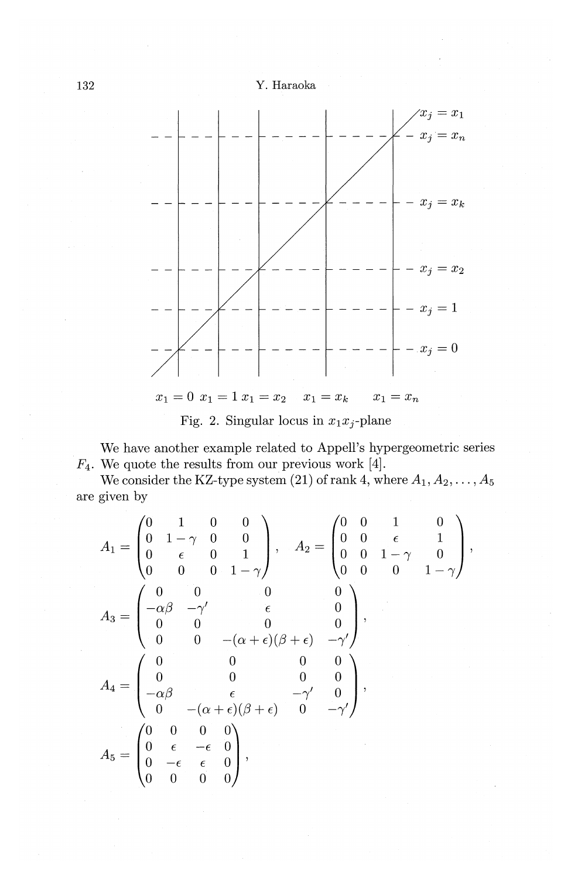



Fig. 2. Singular locus in  $x_1x_j$ -plane

We have another example related to Appell's hypergeometric series  $F_4$ . We quote the results from our previous work [4].

We consider the KZ-type system (21) of rank 4, where  $A_1, A_2, \ldots, A_5$ are given by

$$
A_1 = \begin{pmatrix} 0 & 1 & 0 & 0 \\ 0 & 1 - \gamma & 0 & 0 \\ 0 & \epsilon & 0 & 1 \\ 0 & 0 & 0 & 1 - \gamma \end{pmatrix}, \quad A_2 = \begin{pmatrix} 0 & 0 & 1 & 0 \\ 0 & 0 & \epsilon & 1 \\ 0 & 0 & 1 - \gamma & 0 \\ 0 & 0 & 1 - \gamma & 0 \\ 0 & 0 & 0 & 0 \\ 0 & 0 & 0 & 0 \end{pmatrix},
$$

$$
A_3 = \begin{pmatrix} 0 & 0 & 0 & 0 \\ -\alpha\beta & -\gamma' & \epsilon & 0 \\ 0 & 0 & -(\alpha + \epsilon)(\beta + \epsilon) & -\gamma' \\ 0 & 0 & 0 & 0 \\ -\alpha\beta & \epsilon & -\gamma' & 0 \\ 0 & -(\alpha + \epsilon)(\beta + \epsilon) & 0 & -\gamma' \end{pmatrix},
$$

$$
A_4 = \begin{pmatrix} 0 & 0 & 0 & 0 \\ -\alpha\beta & \epsilon & -\gamma' & 0 \\ 0 & -(\alpha + \epsilon)(\beta + \epsilon) & 0 & -\gamma' \end{pmatrix},
$$

$$
A_5 = \begin{pmatrix} 0 & 0 & 0 & 0 \\ 0 & \epsilon & -\epsilon & 0 \\ 0 & -\epsilon & \epsilon & 0 \\ 0 & 0 & 0 & 0 \end{pmatrix},
$$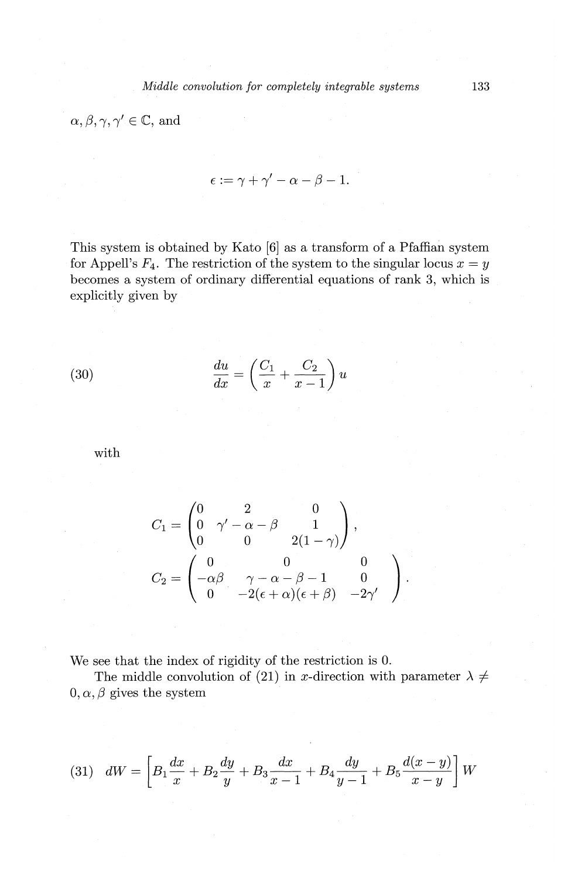$\alpha, \beta, \gamma, \gamma' \in \mathbb{C}$ , and

$$
\epsilon:=\gamma+\gamma'-\alpha-\beta-1.
$$

This system is obtained by Kato [6] as a transform of a Pfaffian system for Appell's  $F_4$ . The restriction of the system to the singular locus  $x = y$ becomes a system of ordinary differential equations of rank 3, which is explicitly given by

(30) 
$$
\frac{du}{dx} = \left(\frac{C_1}{x} + \frac{C_2}{x-1}\right)u
$$

with

$$
C_1 = \begin{pmatrix} 0 & 2 & 0 \\ 0 & \gamma' - \alpha - \beta & 1 \\ 0 & 0 & 2(1 - \gamma) \end{pmatrix},
$$
  
\n
$$
C_2 = \begin{pmatrix} 0 & 0 & 0 \\ -\alpha\beta & \gamma - \alpha - \beta - 1 & 0 \\ 0 & -2(\epsilon + \alpha)(\epsilon + \beta) & -2\gamma' \end{pmatrix}.
$$

We see that the index of rigidity of the restriction is 0.

The middle convolution of (21) in x-direction with parameter  $\lambda \neq$  $0, \alpha, \beta$  gives the system

(31) 
$$
dW = \left[ B_1 \frac{dx}{x} + B_2 \frac{dy}{y} + B_3 \frac{dx}{x-1} + B_4 \frac{dy}{y-1} + B_5 \frac{d(x-y)}{x-y} \right] W
$$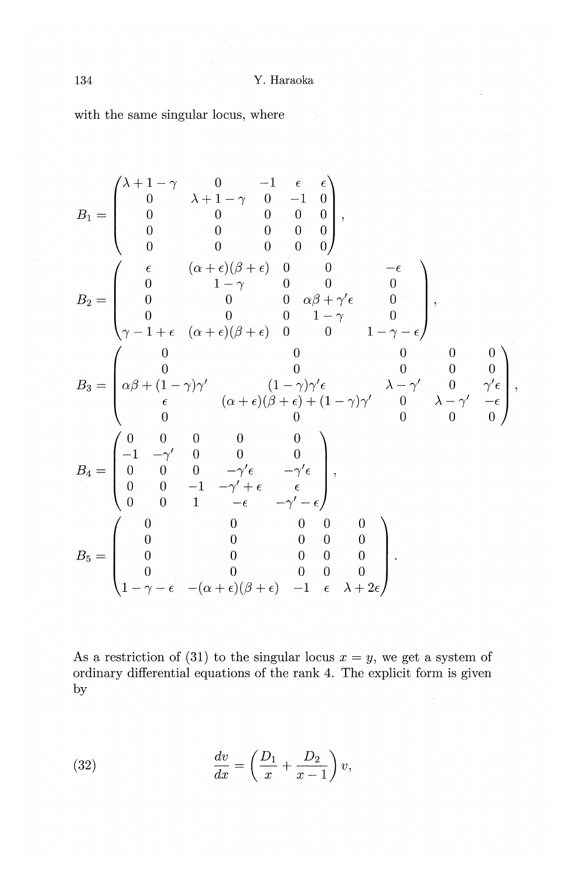with the same singular locus, where

$$
B_1 = \begin{pmatrix} \lambda + 1 - \gamma & 0 & -1 & \epsilon & \epsilon \\ 0 & \lambda + 1 - \gamma & 0 & -1 & 0 \\ 0 & 0 & 0 & 0 & 0 \\ 0 & 0 & 0 & 0 & 0 \\ 0 & 0 & 0 & 0 & 0 \end{pmatrix},
$$
  
\n
$$
B_2 = \begin{pmatrix} \epsilon & (\alpha + \epsilon)(\beta + \epsilon) & 0 & 0 & -\epsilon \\ 0 & 1 - \gamma & 0 & 0 & 0 \\ 0 & 0 & 0 & \alpha\beta + \gamma'\epsilon & 0 \\ 0 & 0 & 0 & 1 - \gamma & 0 \\ \gamma - 1 + \epsilon & (\alpha + \epsilon)(\beta + \epsilon) & 0 & 0 & 1 - \gamma - \epsilon \end{pmatrix},
$$
  
\n
$$
B_3 = \begin{pmatrix} 0 & 0 & 0 & 0 & 0 & 0 \\ \alpha\beta + (1 - \gamma)\gamma' & (1 - \gamma)\gamma'\epsilon & \lambda - \gamma' & 0 & \gamma'\epsilon \\ \epsilon & (\alpha + \epsilon)(\beta + \epsilon) + (1 - \gamma)\gamma' & 0 & \lambda - \gamma' - \epsilon \\ 0 & 0 & 0 & 0 & 0 \\ 0 & 0 & -\gamma'\epsilon & -\gamma'\epsilon \\ 0 & 0 & 1 & -\epsilon & -\gamma' - \epsilon \end{pmatrix},
$$
  
\n
$$
B_4 = \begin{pmatrix} 0 & 0 & 0 & 0 & 0 \\ -1 & -\gamma' & 0 & 0 & 0 & 0 \\ 0 & 0 & -1 & -\gamma' + \epsilon & \epsilon \\ 0 & 0 & 1 & -\epsilon & -\gamma' - \epsilon \\ 0 & 0 & 0 & 0 & 0 \\ 0 & 0 & 0 & 0 & 0 \\ 0 & 0 & 0 & 0 & 0 \\ 1 - \gamma - \epsilon & -(\alpha + \epsilon)(\beta + \epsilon) & -1 & \epsilon & \lambda + 2\epsilon \end{pmatrix}.
$$

As a restriction of (31) to the singular locus  $x = y$ , we get a system of ordinary differential equations of the rank 4. The explicit form is given by

(32) 
$$
\frac{dv}{dx} = \left(\frac{D_1}{x} + \frac{D_2}{x - 1}\right)v,
$$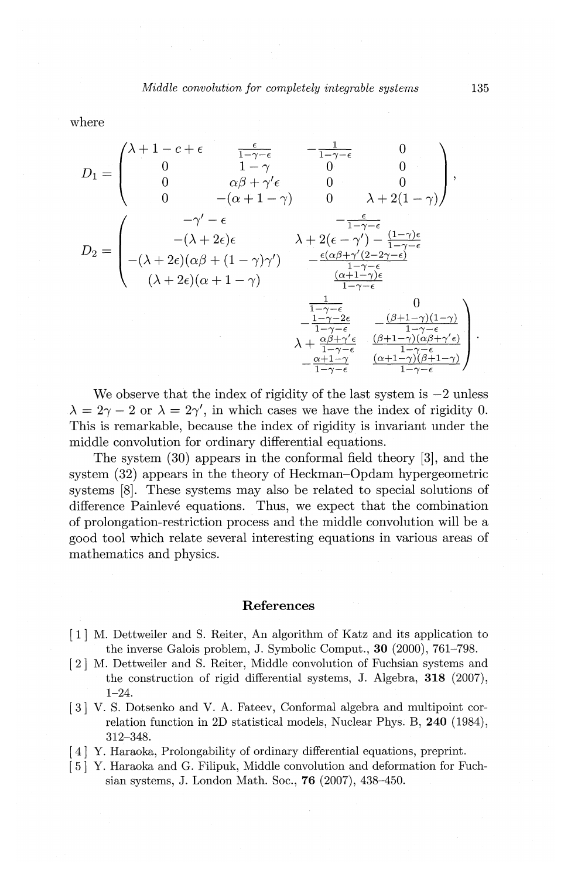where

$$
D_1 = \begin{pmatrix} \lambda + 1 - c + \epsilon & \frac{\epsilon}{1 - \gamma - \epsilon} & -\frac{1}{1 - \gamma - \epsilon} & 0 \\ 0 & 1 - \gamma & 0 & 0 \\ 0 & \alpha \beta + \gamma' \epsilon & 0 & 0 \\ 0 & -(\alpha + 1 - \gamma) & 0 & \lambda + 2(1 - \gamma) \end{pmatrix},
$$
  

$$
D_2 = \begin{pmatrix} -\gamma' - \epsilon & -\frac{\epsilon}{1 - \gamma - \epsilon} \\ -(\lambda + 2\epsilon)\epsilon & \lambda + 2(\epsilon - \gamma') - \frac{(1 - \gamma)\epsilon}{1 - \gamma - \epsilon} \\ -(\lambda + 2\epsilon)(\alpha \beta + (1 - \gamma)\gamma') & -\frac{\epsilon(\alpha \beta + \gamma'(2 - 2\gamma - \epsilon)}{1 - \gamma - \epsilon} \\ (\lambda + 2\epsilon)(\alpha + 1 - \gamma) & \frac{\alpha + 1 - \gamma\beta}{1 - \gamma - \epsilon} \\ -\frac{1 - \gamma - 2\epsilon}{1 - \gamma - \epsilon} & -\frac{(\beta + 1 - \gamma)(1 - \gamma)}{1 - \gamma - \epsilon} \\ \lambda + \frac{\alpha \beta + \gamma' \epsilon}{1 - \gamma - \epsilon} & \frac{(\alpha + 1 - \gamma)(\alpha \beta + \gamma' \epsilon)}{1 - \gamma - \epsilon} \\ -\frac{\alpha + 1 - \gamma'}{1 - \gamma - \epsilon} & \frac{\alpha + 1 - \gamma - \epsilon}{1 - \gamma - \epsilon} \end{pmatrix}
$$

We observe that the index of rigidity of the last system is  $-2$  unless  $\lambda = 2\gamma - 2$  or  $\lambda = 2\gamma'$ , in which cases we have the index of rigidity 0. This is remarkable, because the index of rigidity is invariant under the middle convolution for ordinary differential equations.

The system (30) appears in the conformal field theory [3], and the system (32) appears in the theory of Heckman-Opdam hypergeometric systems [8]. These systems may also be related to special solutions of difference Painlevé equations. Thus, we expect that the combination of prolongation-restriction process and the middle convolution will be a good tool which relate several interesting equations in various areas of mathematics and physics.

#### **References**

- [ 1] M. Dettweiler and S. Reiter, An algorithm of Katz and its application to the inverse Galois problem, J. Symbolic Comput., **30** (2000), 761-798.
- [2] M. Dettweiler and S. Reiter, Middle convolution of Fuchsian systems and the construction of rigid differential systems, J. Algebra, **318** (2007), 1-24.
- [3] V. S. Dotsenko and V. A. Fateev, Conformal algebra and multipoint correlation function in 2D statistical models, Nuclear Phys. B, **240** (1984), 312-348.
- [4] Y. Haraoka, Prolongability of ordinary differential equations, preprint.
- [5] Y. Haraoka and G. Filipuk, Middle convolution and deformation for Fuchsian systems, J. London Math. Soc., **76** (2007), 438-450.